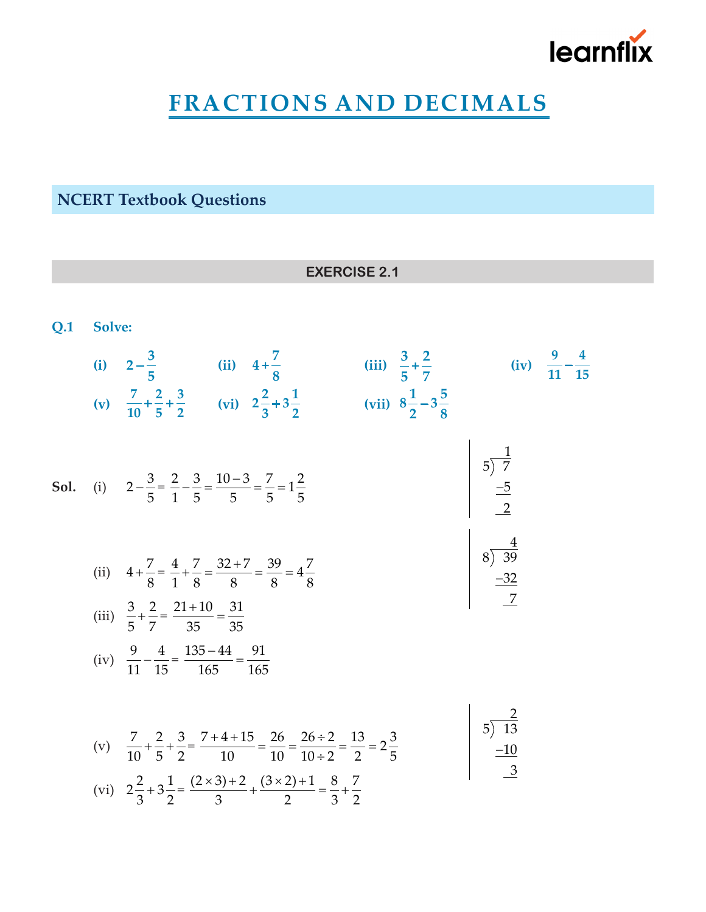

## **FRACTIONS AND DECIMALS**

**NCERT Textbook Questions**

|     | <b>EXERCISE 2.1</b> |                                                                                                                                                                                                                                                          |                                                                                                |  |  |  |  |  |  |  |
|-----|---------------------|----------------------------------------------------------------------------------------------------------------------------------------------------------------------------------------------------------------------------------------------------------|------------------------------------------------------------------------------------------------|--|--|--|--|--|--|--|
| Q.1 | Solve:              |                                                                                                                                                                                                                                                          |                                                                                                |  |  |  |  |  |  |  |
|     |                     | (i) $2-\frac{3}{5}$ (ii) $4+\frac{7}{8}$ (iii) $\frac{3}{5}+\frac{2}{7}$ (iv) $\frac{9}{11}-\frac{4}{15}$<br>(v) $\frac{7}{10}+\frac{2}{5}+\frac{3}{2}$ (vi) $2\frac{2}{3}+3\frac{1}{2}$ (vii) $8\frac{1}{2}-3\frac{5}{8}$                               |                                                                                                |  |  |  |  |  |  |  |
|     |                     | <b>Sol.</b> (i) $2 - \frac{3}{5} = \frac{2}{1} - \frac{3}{5} = \frac{10 - 3}{5} = \frac{7}{5} = 1\frac{2}{5}$                                                                                                                                            | $\begin{array}{ c c }\n\hline\n5 & 7 \\ \hline\n-5 & 2\n\end{array}$                           |  |  |  |  |  |  |  |
|     |                     | (ii) $4 + \frac{7}{8} = \frac{4}{1} + \frac{7}{8} = \frac{32 + 7}{8} = \frac{39}{8} = 4\frac{7}{8}$<br>(iii) $\frac{3}{5} + \frac{2}{7} = \frac{21 + 10}{35} = \frac{31}{35}$                                                                            | $\begin{array}{ c c }\n & \frac{4}{39} \\  & \underline{-32}\n\end{array}$                     |  |  |  |  |  |  |  |
|     |                     | (iv) $\frac{9}{11} - \frac{4}{15} = \frac{135 - 44}{165} = \frac{91}{165}$                                                                                                                                                                               |                                                                                                |  |  |  |  |  |  |  |
|     |                     | (v) $\frac{7}{10} + \frac{2}{5} + \frac{3}{2} = \frac{7+4+15}{10} = \frac{26}{10} = \frac{26 \div 2}{10 \div 2} = \frac{13}{2} = 2\frac{3}{5}$<br>(vi) $2\frac{2}{3}+3\frac{1}{2}=\frac{(2\times3)+2}{3}+\frac{(3\times2)+1}{2}=\frac{8}{3}+\frac{7}{2}$ | $\begin{array}{ c c }\n & 5 & \overline{13} \\  & -10 & \overline{13} \\  & & -1\n\end{array}$ |  |  |  |  |  |  |  |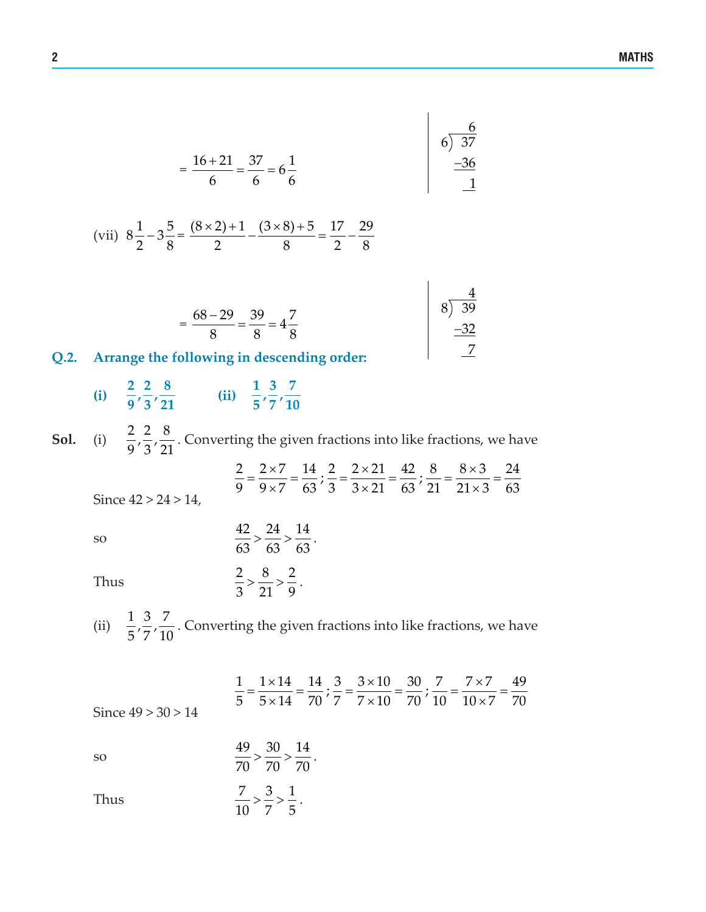$$
= \frac{16 + 21}{6} = \frac{37}{6} = 6\frac{1}{6}
$$

(vii) 
$$
8\frac{1}{2} - 3\frac{5}{8} = \frac{(8 \times 2) + 1}{2} - \frac{(3 \times 8) + 5}{8} = \frac{17}{2} - \frac{29}{8}
$$

|    | $=\frac{68-29}{2}=\frac{39}{2}=4\frac{7}{2}$ |       |
|----|----------------------------------------------|-------|
|    | 8 8                                          | $-32$ |
| റാ | Arrange the following in descending order    |       |

 $\overline{\phantom{a}}$ 

### **Q.2. Arrange the following in descending order:**

- **(i)**  $\frac{2}{9}, \frac{2}{3}, \frac{8}{21}$  **(ii)**  $\frac{1}{5}, \frac{3}{7}, \frac{7}{10}$
- **Sol.** (i)  $\frac{2}{9}, \frac{2}{3}, \frac{8}{21}$ . Converting the given fractions into like fractions, we have Since  $42 > 24 > 14$ ,  $\frac{2}{9} = \frac{2 \times 7}{9 \times 7} = \frac{14}{63}; \frac{2}{3} = \frac{2 \times 21}{3 \times 21} = \frac{42}{63}; \frac{8}{21} = \frac{8 \times 3}{21 \times 3} = \frac{24}{63}$

Thus

so 
$$
\frac{42}{63} > \frac{24}{63} > \frac{14}{63}.
$$
Thus 
$$
\frac{2}{3} > \frac{8}{21} > \frac{2}{9}.
$$

(ii)  $\frac{1}{5}$ ,  $\frac{3}{7}$ ,  $\frac{7}{10}$ . Converting the given fractions into like fractions, we have

$$
\frac{1}{5} = \frac{1 \times 14}{5 \times 14} = \frac{14}{70}; \frac{3}{7} = \frac{3 \times 10}{7 \times 10} = \frac{30}{70}; \frac{7}{10} = \frac{7 \times 7}{10 \times 7} = \frac{49}{70}
$$
\nSince  $49 > 30 > 14$ 

so  $\frac{49}{70} > \frac{30}{70} > \frac{14}{70}$ .

Thus  $\frac{7}{10} > \frac{3}{7} > \frac{1}{5}$ .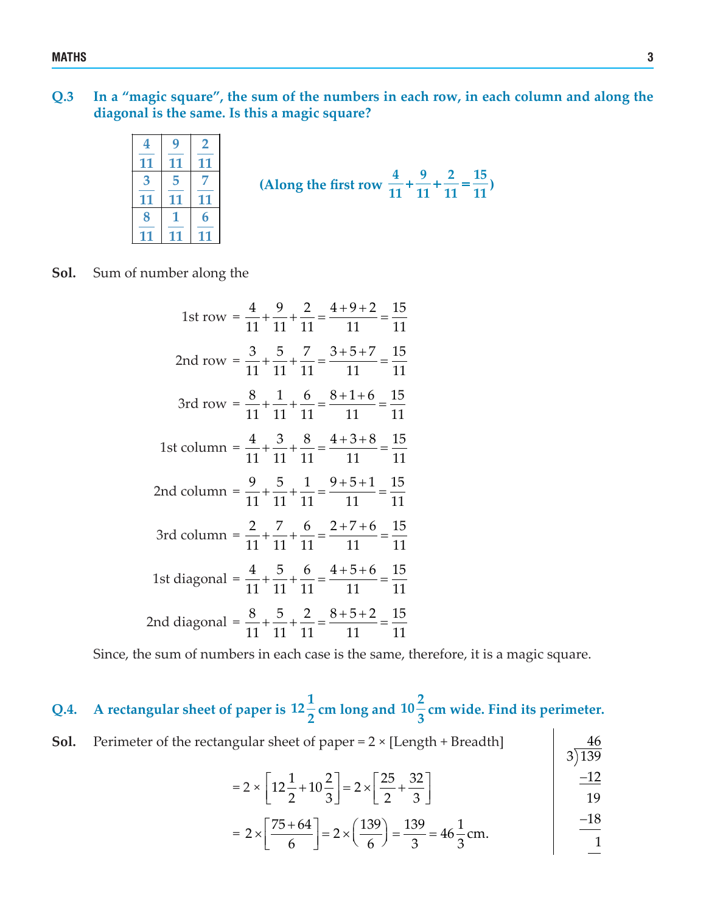**Q.3 In a "magic square", the sum of the numbers in each row, in each column and along the diagonal is the same. Is this a magic square?**

|  |  | IЬ<br>(Along the first row $\frac{1}{11} + \frac{1}{11} + \frac{1}{11} = \frac{1}{11}$ ) |
|--|--|------------------------------------------------------------------------------------------|
|  |  |                                                                                          |
|  |  |                                                                                          |
|  |  |                                                                                          |

#### **Sol.** Sum of number along the

| 1st row = $\frac{4}{11} + \frac{9}{11} + \frac{2}{11} = \frac{4+9+2}{11} = \frac{15}{11}$      |  |
|------------------------------------------------------------------------------------------------|--|
| 2nd row = $\frac{3}{11} + \frac{5}{11} + \frac{7}{11} = \frac{3+5+7}{11} = \frac{15}{11}$      |  |
| 3rd row = $\frac{8}{11} + \frac{1}{11} + \frac{6}{11} = \frac{8+1+6}{11} = \frac{15}{11}$      |  |
| 1st column = $\frac{4}{11} + \frac{3}{11} + \frac{8}{11} = \frac{4+3+8}{11} = \frac{15}{11}$   |  |
| 2nd column = $\frac{9}{11} + \frac{5}{11} + \frac{1}{11} = \frac{9+5+1}{11} = \frac{15}{11}$   |  |
| 3rd column = $\frac{2}{11} + \frac{7}{11} + \frac{6}{11} = \frac{2+7+6}{11} = \frac{15}{11}$   |  |
| 1st diagonal = $\frac{4}{11} + \frac{5}{11} + \frac{6}{11} = \frac{4+5+6}{11} = \frac{15}{11}$ |  |
| 2nd diagonal = $\frac{8}{11} + \frac{5}{11} + \frac{2}{11} = \frac{8+5+2}{11} = \frac{15}{11}$ |  |

Since, the sum of numbers in each case is the same, therefore, it is a magic square.

# Q.4. A rectangular sheet of paper is  $12\frac{1}{2}$  cm long and  $10\frac{2}{3}$  cm wide. Find its perimeter.

| <b>Sol.</b> Perimeter of the rectangular sheet of paper = $2 \times$ [Length + Breadth] |                         |
|-----------------------------------------------------------------------------------------|-------------------------|
|                                                                                         | $\left  \right.$ 3) 139 |

$$
= 2 \times \left[ 12\frac{1}{2} + 10\frac{2}{3} \right] = 2 \times \left[ \frac{25}{2} + \frac{32}{3} \right]
$$
 
$$
\frac{-12}{19}
$$

$$
= 2 \times \left[\frac{75 + 64}{6}\right] = 2 \times \left(\frac{139}{6}\right) = \frac{139}{3} = 46\frac{1}{3}
$$
cm.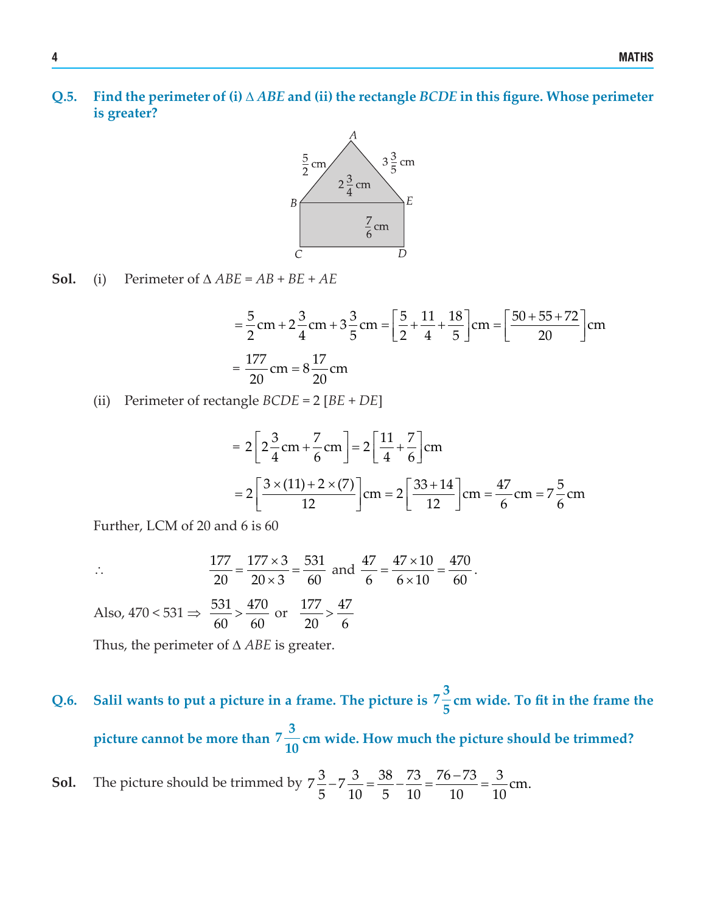**Q.5. Find the perimeter of (i)** ∆ *ABE* **and (ii) the rectangle** *BCDE* **in this figure. Whose perimeter is greater?**



**Sol.** (i) Perimeter of  $\triangle ABE = AB + BE + AE$ 

$$
= \frac{5}{2} \text{cm} + 2\frac{3}{4} \text{cm} + 3\frac{3}{5} \text{cm} = \left[\frac{5}{2} + \frac{11}{4} + \frac{18}{5}\right] \text{cm} = \left[\frac{50 + 55 + 72}{20}\right] \text{cm}
$$

$$
= \frac{177}{20} \text{cm} = 8\frac{17}{20} \text{cm}
$$

(ii) Perimeter of rectangle *BCDE* = 2 [*BE* + *DE*]

$$
= 2\left[2\frac{3}{4}\text{cm} + \frac{7}{6}\text{cm}\right] = 2\left[\frac{11}{4} + \frac{7}{6}\right]\text{cm}
$$

$$
= 2\left[\frac{3 \times (11) + 2 \times (7)}{12}\right]\text{cm} = 2\left[\frac{33 + 14}{12}\right]\text{cm} = \frac{47}{6}\text{cm} = 7\frac{5}{6}\text{cm}
$$

 $47.10$ 

Further, LCM of 20 and 6 is 60

$$
\overline{a}
$$

$$
\therefore \qquad \frac{177}{20} = \frac{177 \times 3}{20 \times 3} = \frac{531}{60} \text{ and } \frac{47}{6} = \frac{47 \times 10}{6 \times 10} = \frac{470}{60}.
$$
  
Also,  $470 < 531 \Rightarrow \frac{531}{60} > \frac{470}{60}$  or  $\frac{177}{20} > \frac{47}{6}$ 

 $177.2 \times 21$ 

Thus, the perimeter of ∆ *ABE* is greater.

## **Q.6.** Salil wants to put a picture in a frame. The picture is  $7\frac{3}{7}$ **<sup>5</sup> cm wide. To fit in the frame the picture cannot be more than**  $7\frac{3}{10}$ **<sup>10</sup> cm wide. How much the picture should be trimmed?**

**Sol.** The picture should be trimmed by 
$$
7\frac{3}{5} - 7\frac{3}{10} = \frac{38}{5} - \frac{73}{10} = \frac{76 - 73}{10} = \frac{3}{10}
$$
 cm.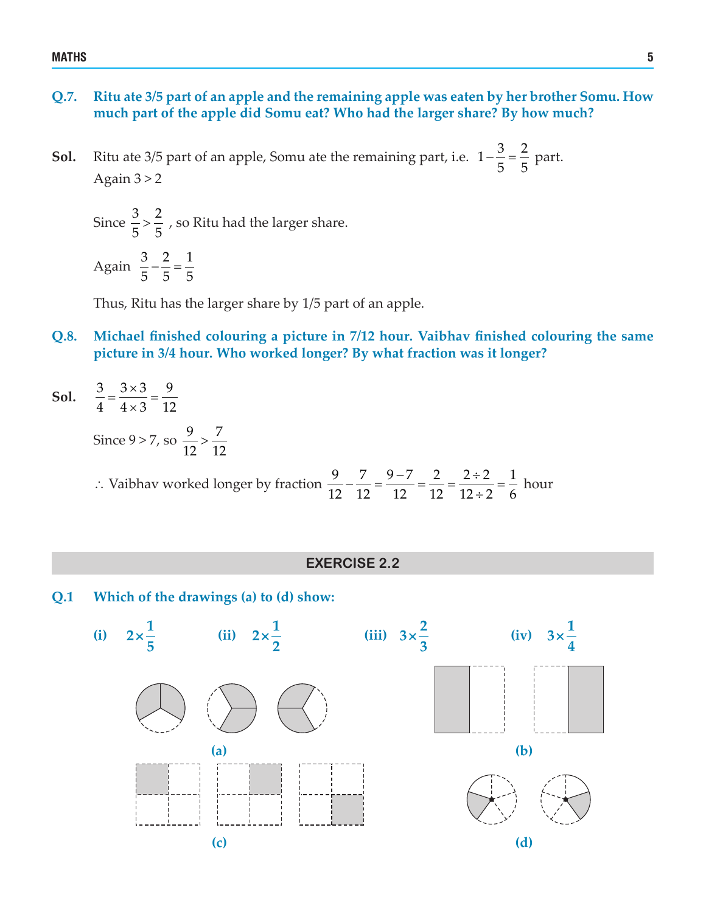#### **Q.7. Ritu ate 3/5 part of an apple and the remaining apple was eaten by her brother Somu. How much part of the apple did Somu eat? Who had the larger share? By how much?**

**Sol.** Ritu ate 3/5 part of an apple, Somu ate the remaining part, i.e.  $1-\frac{3}{5}=\frac{2}{5}$  part. Again  $3 > 2$ 

Since  $\frac{3}{5}$  >  $\frac{2}{5}$  , so Ritu had the larger share. Again  $\frac{3}{5} - \frac{2}{5} = \frac{1}{5}$ 

555

Thus, Ritu has the larger share by 1/5 part of an apple.

- **Q.8. Michael finished colouring a picture in 7/12 hour. Vaibhav finished colouring the same picture in 3/4 hour. Who worked longer? By what fraction was it longer?**
- **Sol.**  $\frac{3}{4} = \frac{3 \times 3}{4 \times 3} = \frac{9}{12}$  $4 \times 3$  12

Since  $9 > 7$ , so  $\frac{9}{12} > \frac{7}{12}$ 12 12

∴ Vaibhav worked longer by fraction 
$$
\frac{9}{12} - \frac{7}{12} = \frac{9-7}{12} = \frac{2}{12} = \frac{2 \div 2}{12 \div 2} = \frac{1}{6}
$$
 hour

#### **EXERCISE 2.2**

**Q.1 Which of the drawings (a) to (d) show:**

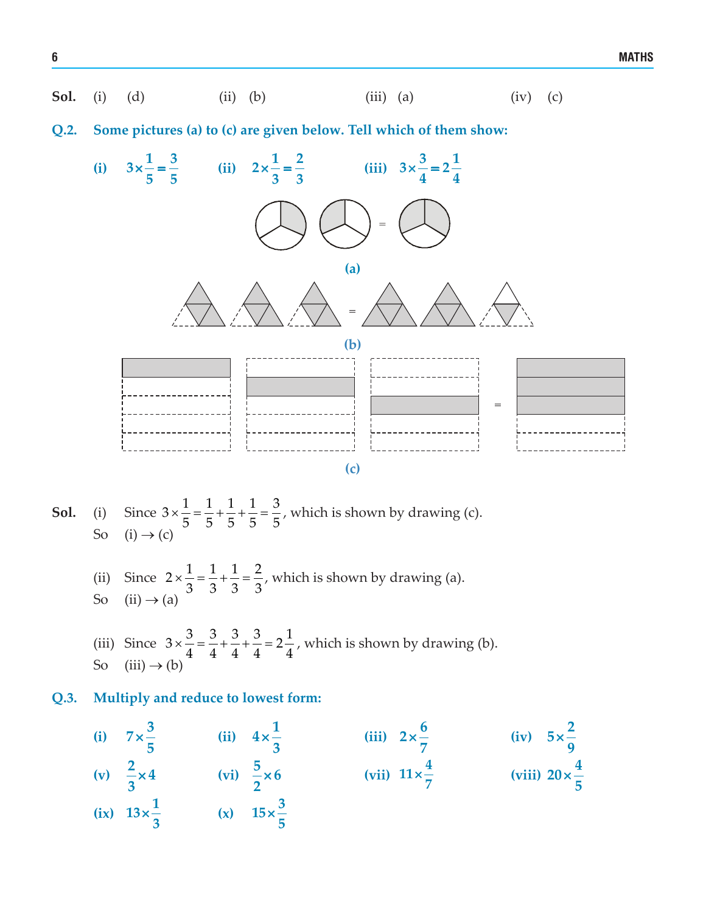

**Q.2. Some pictures (a) to (c) are given below. Tell which of them show:**



- **Sol.** (i) Since  $3 \times \frac{1}{5} = \frac{1}{5} + \frac{1}{5} + \frac{1}{5} = \frac{3}{5}$ , which is shown by drawing (c). So  $(i) \rightarrow (c)$
- (ii) Since  $2 \times \frac{1}{3} = \frac{1}{3} + \frac{1}{3} = \frac{2}{3}$ , which is shown by drawing (a). So  $(ii) \rightarrow (a)$
- (iii) Since  $3 \times \frac{3}{4} = \frac{3}{4} + \frac{3}{4} + \frac{3}{4} = 2\frac{1}{4}$ , which is shown by drawing (b). So  $(iii) \rightarrow (b)$
- **Q.3. Multiply and reduce to lowest form:**
- **(i)**  $7 \times \frac{3}{7}$ **5**  $\times \frac{3}{4}$  (ii)  $4 \times \frac{1}{4}$ **3**  $\times \frac{1}{2}$  (iii)  $2 \times \frac{6}{2}$ **7**  $\times \frac{6}{7}$  (iv)  $5 \times \frac{2}{7}$ **9** ×  $(v)$   $\frac{2}{3} \times 4$ **3**  $\times 4$  (vi)  $\frac{5}{3} \times 6$ **2**  $\times 6$  (vii)  $11 \times \frac{4}{7}$  $\times \frac{4}{7}$  (viii)  $20 \times \frac{4}{5}$ **5** ×  $\frac{1}{2}$  **(ix)**  $13 \times \frac{1}{2}$ **3**  $\times \frac{1}{2}$  (x)  $15 \times \frac{3}{2}$ **5** ×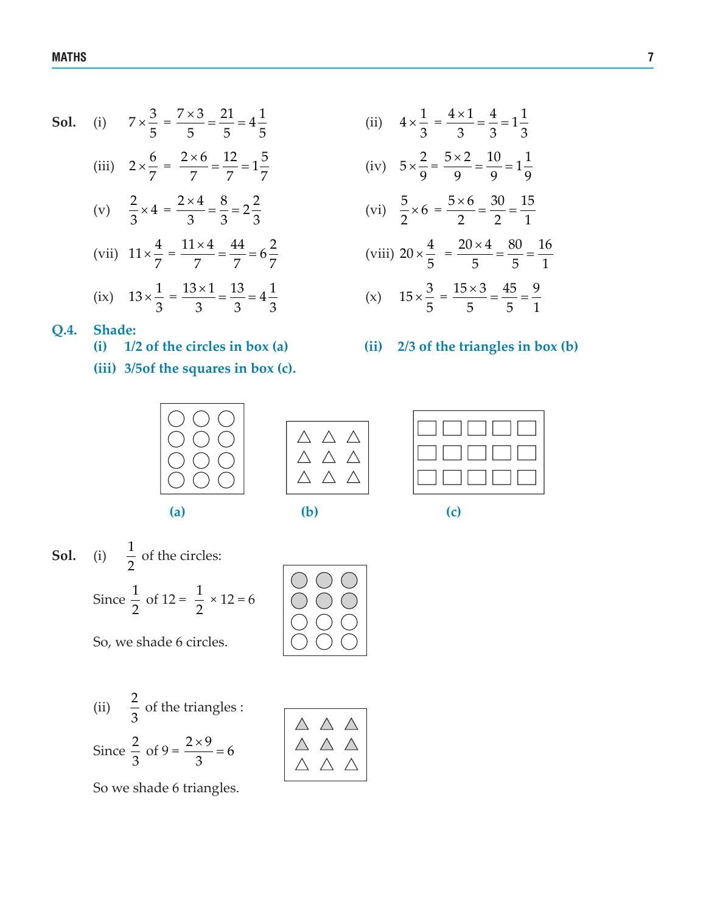**Sol.** (i)  $7 \times \frac{3}{5}$ 

- 5 (iii)  $2 \times \frac{6}{7}$ 7  $=\frac{2\times6}{7}=\frac{12}{7}=1\frac{5}{7}$  (iv)  $5\times$ (v)  $\frac{2}{3} \times 4$ 3  $=\frac{2\times4}{3}=\frac{8}{3}=2\frac{2}{3}$  (vi)  $\frac{5}{2}\times$ (vii)  $11 \times \frac{4}{7}$ 7  $=\frac{11 \times 4}{7} = \frac{44}{7} = 6\frac{2}{7}$  (viii) 20 × (ix)  $13 \times \frac{1}{2}$ 3  $=\frac{13 \times 1}{3} = \frac{13}{3} = 4\frac{1}{3}$  (x)  $15 \times$
- $=$   $\frac{7 \times 3}{5} = \frac{21}{5} = 4\frac{1}{5}$  (ii) 4 ×  $4 \times \frac{1}{2}$ 3  $=\frac{4\times1}{2}=\frac{4}{2}=1\frac{1}{2}$ 3 33  $5 \times \frac{2}{3}$ 9  $=\frac{5\times2}{8}=\frac{10}{8}=1\frac{1}{8}$ 9 9 9  $\frac{5}{2} \times 6$ 2  $=\frac{5\times6}{2}=\frac{30}{2}=\frac{15}{4}$ 2 21  $20 \times \frac{4}{5}$ 5  $=\frac{20\times4}{5}=\frac{80}{5}=\frac{16}{4}$ 5 51  $15 \times \frac{3}{5}$ 5  $=\frac{15\times3}{5}=\frac{45}{5}=\frac{9}{4}$ 5 51
	-
- **Q.4. Shade:** 
	- **(i) 1/2 of the circles in box (a) (ii) 2/3 of the triangles in box (b)**
	- **(iii) 3/5of the squares in box (c).**





| $\Box$<br>$\blacksquare$ |
|--------------------------|
|                          |

- **Sol.** (i)  $\frac{1}{2}$ 2 of the circles: Since  $\frac{1}{2}$ 2 of  $12 = \frac{1}{2}$ 2  $\times$  12 = 6
	- So, we shade 6 circles.
	- (ii)  $\frac{2}{3}$ 3 of the triangles : Since  $\frac{2}{3}$ 3 of  $9 = \frac{2 \times 9}{2} = 6$  $\frac{x}{3}$  = 6

 $\begin{array}{c}\triangle \ \, \triangle \ \, \triangle \\ \triangle \ \, \triangle \\ \, \triangle \ \, \triangle \\ \, \wedge \ \, \wedge \end{array}$ 

So we shade 6 triangles.



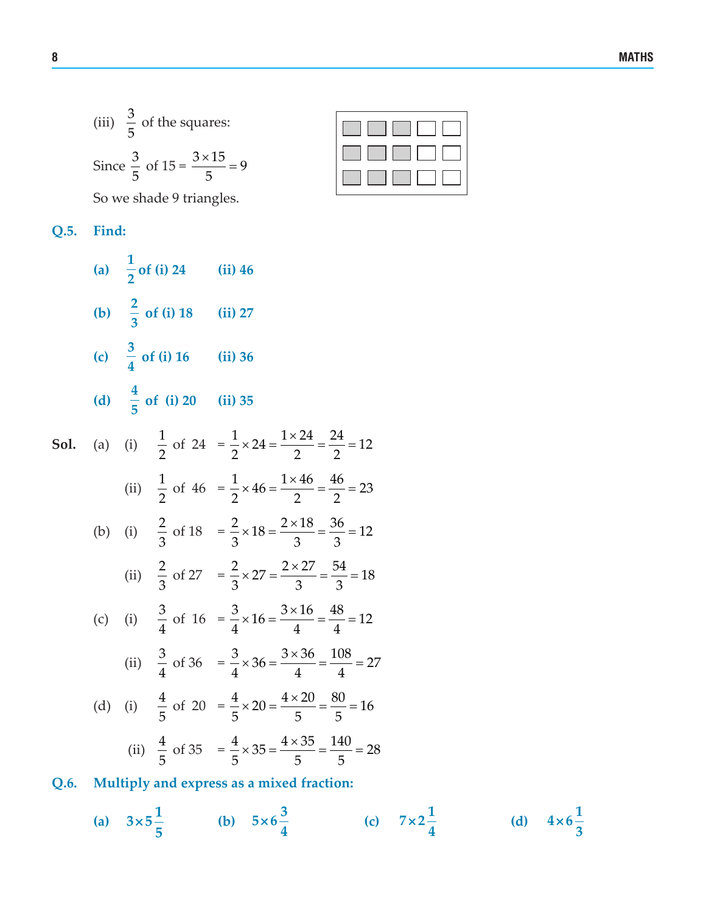(iii) 
$$
\frac{3}{5}
$$
 of the squares:  
Since  $\frac{3}{5}$  of 15 =  $\frac{3 \times 15}{5}$  = 9

So we shade 9 triangles.

**Q.5. Find:**

(a) 
$$
\frac{1}{2}
$$
 of (i) 24 (ii) 46  
\n(b)  $\frac{2}{3}$  of (i) 18 (ii) 27  
\n(c)  $\frac{3}{4}$  of (i) 16 (ii) 36  
\n(d)  $\frac{4}{5}$  of (i) 20 (ii) 35

**Sol.** (a) (i) 
$$
\frac{1}{2}
$$
 of 24 =  $\frac{1}{2} \times 24 = \frac{1 \times 24}{2} = \frac{24}{2} = 12$ 

\n(ii)  $\frac{1}{2}$  of 46 =  $\frac{1}{2} \times 46 = \frac{1 \times 46}{2} = \frac{46}{2} = 23$ 

\n(b) (i)  $\frac{2}{3}$  of 18 =  $\frac{2}{3} \times 18 = \frac{2 \times 18}{3} = \frac{36}{3} = 12$ 

\n(ii)  $\frac{2}{3}$  of 27 =  $\frac{2}{3} \times 27 = \frac{2 \times 27}{3} = \frac{54}{3} = 18$ 

\n(c) (i)  $\frac{3}{4}$  of 16 =  $\frac{3}{4} \times 16 = \frac{3 \times 16}{4} = \frac{48}{4} = 12$ 

\n(ii)  $\frac{3}{4}$  of 36 =  $\frac{3}{4} \times 36 = \frac{3 \times 36}{4} = \frac{108}{4} = 27$ 

\n(d) (i)  $\frac{4}{5}$  of 20 =  $\frac{4}{5} \times 20 = \frac{4 \times 20}{5} = \frac{80}{5} = 16$ 

\n(ii)  $\frac{4}{5}$  of 35 =  $\frac{4}{5} \times 35 = \frac{4 \times 35}{5} = \frac{140}{5} = 28$ 

\n**Q.6.** Multiply and express as a mixed fraction:

(a) 
$$
3 \times 5\frac{1}{5}
$$
 (b)  $5 \times 6\frac{3}{4}$  (c)  $7 \times 2\frac{1}{4}$  (d)  $4 \times 6\frac{1}{3}$ 

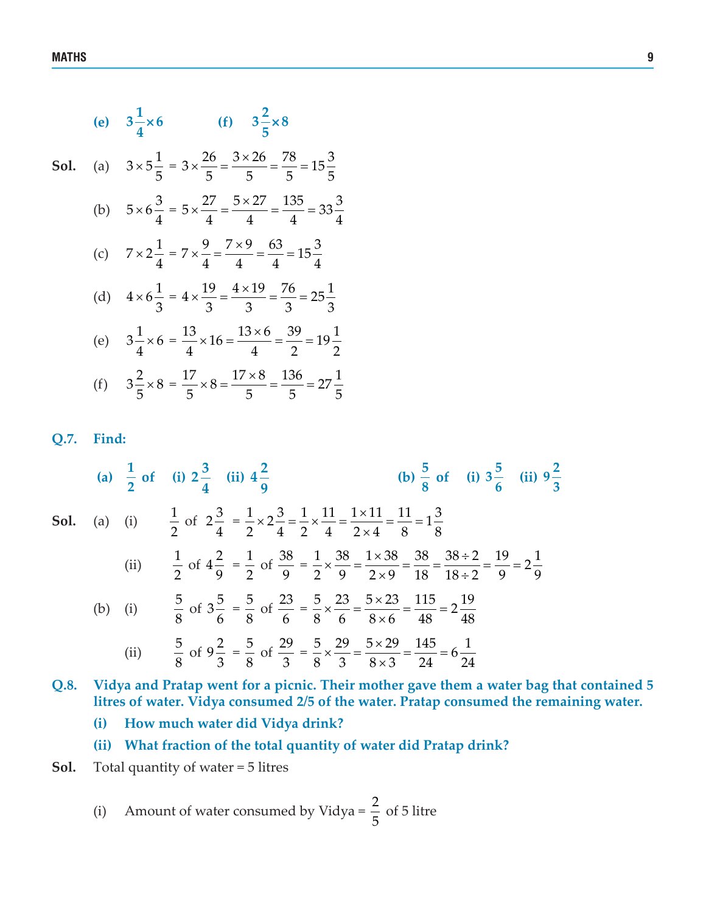**(e)**  $3\frac{1}{4} \times 6$ **4**  $\times 6$  (f)  $3\frac{2}{3} \times 8$ **5** × **Sol.** (a)  $3 \times 5\frac{1}{5}$ 5 =  $3 \times \frac{26}{5} = \frac{3 \times 26}{5} = \frac{78}{5} = 15\frac{3}{5}$ 555 5 (b)  $5 \times 6 \frac{3}{4}$ 4 =  $5 \times \frac{27}{1} = \frac{5 \times 27}{1} = \frac{135}{1} = 33\frac{3}{1}$ 44 4 4 (c)  $7 \times 2 \frac{1}{4}$ 4 =  $7 \times \frac{9}{4} = \frac{7 \times 9}{4} = \frac{63}{4} = 15\frac{3}{4}$ (d)  $4 \times 6\frac{1}{2}$ 3 =  $4 \times \frac{19}{2} = \frac{4 \times 19}{2} = \frac{76}{2} = 25\frac{1}{2}$ 333 3 (e)  $3\frac{1}{4} \times 6$ 4 =  $\frac{13}{4} \times 16 = \frac{13 \times 6}{4} = \frac{39}{2} = 19\frac{1}{2}$ (f)  $3\frac{2}{7} \times 8$ 5 =  $\frac{17}{2} \times 8 = \frac{17 \times 8}{2} = \frac{136}{2} = 27\frac{1}{2}$ 5 55 5

#### **Q.7. Find:**

 **(a)**  $\frac{1}{2}$  of (i)  $2\frac{3}{4}$ **(ii)**  $4\frac{2}{9}$ **9**  $\frac{5}{8}$  of (i)  $3\frac{5}{6}$  (ii)  $9\frac{2}{3}$ **Sol.** (a) (i)  $\frac{1}{2}$ 2 of  $2\frac{3}{4}$ 4 =  $\times 2\frac{3}{4} = \frac{1}{2} \times \frac{11}{4} = \frac{1 \times 11}{2 \times 1} = \frac{11}{2} =$ ×  $\frac{1}{2} \times 2 \frac{3}{4} = \frac{1}{2} \times \frac{11}{4} = \frac{1 \times 11}{2 \times 1} = \frac{11}{2} = 1\frac{3}{2}$  $2 \t-4 \t2 \t4 \t2 \times 4 \t8 \t8$ (ii)  $\frac{1}{2}$ 2 of  $4\frac{2}{9}$ 9  $=\frac{1}{2}$ 2 of  $\frac{38}{9}$ 9 =  $\times \frac{38}{2} = \frac{1 \times 38}{2 \times 2} = \frac{38}{18} = \frac{38 \div 2}{18 \times 2} = \frac{19}{2 \times 2} =$  $\times 9$  18 18 ÷  $\frac{1}{2} \times \frac{38}{8} = \frac{1 \times 38}{2 \times 8} = \frac{38}{18} = \frac{38 \div 2}{2 \times 2} = \frac{19}{8} = 2\frac{1}{8}$  $2 \times 9$  2  $\times 9$  18 18 ÷ 2 9 <sup>9</sup> (b) (i)  $\frac{5}{6}$ 8 of  $3\frac{5}{6}$ 6  $=\frac{5}{3}$ 8 of  $\frac{23}{ }$ 6 =  $\times \frac{23}{2} = \frac{5 \times 23}{2 \times 23} = \frac{115}{12} =$ ×  $\frac{5}{2} \times \frac{23}{2} = \frac{5 \times 23}{2 \times 2} = \frac{115}{10} = 2\frac{19}{10}$  $8 \t 6 \t 8 \times 6 \t 48 \t 48$ (ii)  $\frac{5}{3}$ 8 of  $9\frac{2}{3}$ 3  $=\frac{5}{3}$ 8 of  $\frac{29}{9}$ 3 =  $\times \frac{29}{2} = \frac{5 \times 29}{2 \times 2} = \frac{145}{24} =$ ×  $\frac{5}{8} \times \frac{29}{8} = \frac{5 \times 29}{8 \times 8} = \frac{145}{34} = 6 \frac{1}{24}$  $8 \times 3 \times 3 \times 24 \times 24$ 

**Q.8. Vidya and Pratap went for a picnic. Their mother gave them a water bag that contained 5 litres of water. Vidya consumed 2/5 of the water. Pratap consumed the remaining water.**

**(i) How much water did Vidya drink?**

**(ii) What fraction of the total quantity of water did Pratap drink?**

**Sol.** Total quantity of water = 5 litres

(i) Amount of water consumed by Vidya =  $\frac{2}{7}$ 5 of 5 litre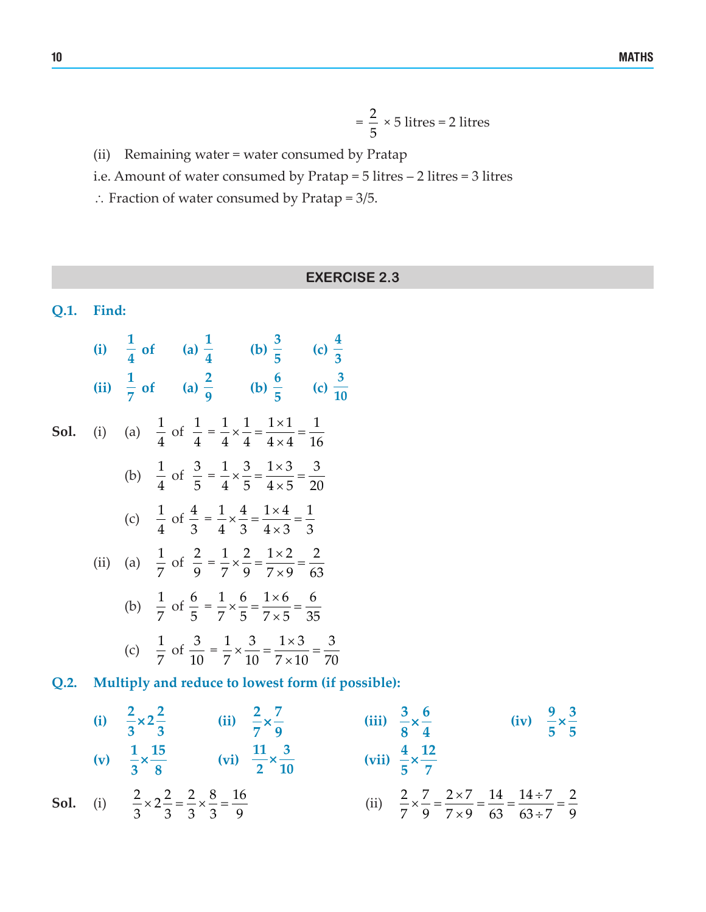$$
= \frac{2}{5} \times 5 \text{ litres} = 2 \text{ litres}
$$

(ii) Remaining water = water consumed by Pratap

i.e. Amount of water consumed by Pratap = 5 litres – 2 litres = 3 litres

∴ Fraction of water consumed by Pratap = 3/5.

**EXERCISE 2.3**

**3 10**

#### **Q.1. Find: (i)**  $\frac{1}{4}$  of (a)  $\frac{1}{4}$  (b)  $\frac{3}{5}$  (c)  $\frac{4}{3}$ **(ii) 1**<sub>2</sub> **of** (a)  $\frac{2}{9}$  (b)  $\frac{6}{5}$  (c) **Sol.** (i) (a)  $\frac{1}{4}$ 4 of  $\frac{1}{4}$ 4 =  $x - \frac{1}{2} = \frac{1 \times 1}{2} =$ ×  $1 \t1 \t1 \times 1 \t1$  $4 \quad 4 \times 4 \quad 16$ (b)  $\frac{1}{4}$ 4 of  $\frac{3}{5}$ 5 =  $x\frac{3}{7} = \frac{1\times3}{1\times7} =$ ×  $1 \t3 \t1 \times 3 \t3$  $4 \t 5 \t 4 \times 5 \t 20$ (c)  $\frac{1}{1}$ 4 of  $\frac{4}{5}$ 3 =  $\times \frac{4}{5} = \frac{1 \times 4}{1 \times 2} =$ ×  $1 \t 4 \t 1 \times 4 \t 1$  $4 \times 3 \times 3 \times 3$ (ii) (a)  $\frac{1}{7}$ 7 of  $\frac{2}{9}$ 9 =  $x - \frac{2}{\lambda} = \frac{1 \times 2}{\lambda} =$ ×  $1 \t2 \t1 \times 2 \t2$  $7 \times 9 \times 9 \times 63$ (b)  $\frac{1}{7}$ 7 of  $\frac{6}{5}$ 5 =  $x\frac{6}{7}=\frac{1\times6}{7}=$ ×  $1, 6$  1×6 6  $7 \t5 \t7 \times 5 \t35$ (c)  $\frac{1}{7}$ 7 of  $\frac{3}{16}$ 10 =  $x\frac{3}{12} = \frac{1\times3}{1\times12} =$ ×  $1 \t3 \t1 \times 3 \t3$  $7 \times 10 \times 10 \times 70$

**Q.2. Multiply and reduce to lowest form (if possible):**

(i) 
$$
\frac{2}{3} \times 2\frac{2}{3}
$$
  
\n(ii)  $\frac{2}{7} \times \frac{7}{9}$   
\n(iii)  $\frac{3}{8} \times \frac{6}{4}$   
\n(iv)  $\frac{9}{5} \times \frac{3}{5}$   
\n(v)  $\frac{1}{3} \times \frac{15}{8}$   
\n(vi)  $\frac{11}{2} \times \frac{3}{10}$   
\n(vii)  $\frac{4}{5} \times \frac{12}{7}$   
\n(viii)  $\frac{4}{5} \times \frac{12}{7}$   
\n(vi)  $\frac{2}{5} \times \frac{2}{5} = \frac{2}{3} \times \frac{8}{3} = \frac{16}{9}$   
\n(ii)  $\frac{2}{7} \times \frac{7}{9} = \frac{2 \times 7}{7 \times 9} = \frac{14}{63} = \frac{14 \div 7}{63 \div 7} = \frac{2}{9}$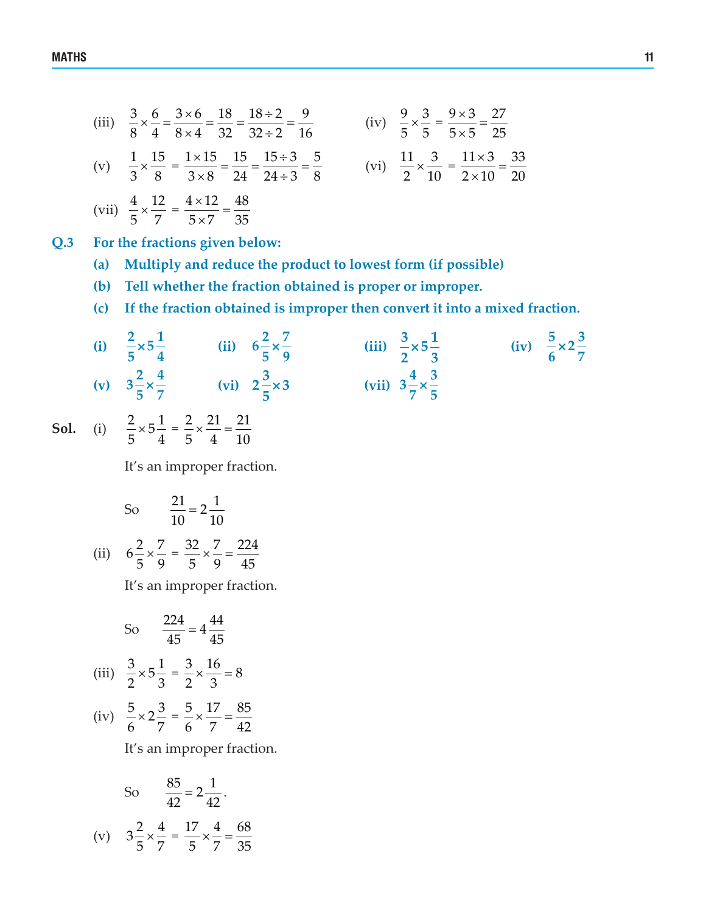(iii) 
$$
\frac{3}{8} \times \frac{6}{4} = \frac{3 \times 6}{8 \times 4} = \frac{18}{32} = \frac{18 \div 2}{32 \div 2} = \frac{9}{16}
$$
 (iv)  $\frac{9}{5} \times \frac{3}{5} = \frac{9 \times 3}{5 \times 5} = \frac{27}{25}$   
\n(v)  $\frac{1}{3} \times \frac{15}{8} = \frac{1 \times 15}{3 \times 8} = \frac{15}{24} = \frac{15 \div 3}{24 \div 3} = \frac{5}{8}$  (vi)  $\frac{11}{2} \times \frac{3}{10} = \frac{11 \times 3}{2 \times 10} = \frac{33}{20}$   
\n(vii)  $\frac{4}{5} \times \frac{12}{7} = \frac{4 \times 12}{5 \times 7} = \frac{48}{35}$ 

**Q.3 For the fractions given below:**

- **(a) Multiply and reduce the product to lowest form (if possible)**
- **(b) Tell whether the fraction obtained is proper or improper.**
- **(c) If the fraction obtained is improper then convert it into a mixed fraction.**

(i) 
$$
\frac{2}{5} \times 5\frac{1}{4}
$$
 (ii)  $6\frac{2}{5} \times \frac{7}{9}$  (iii)  $\frac{3}{2} \times 5\frac{1}{3}$  (iv)  $\frac{5}{6} \times 2\frac{3}{7}$   
(v)  $3\frac{2}{5} \times \frac{4}{7}$  (vi)  $2\frac{3}{5} \times 3$  (vii)  $3\frac{4}{7} \times \frac{3}{5}$ 

**Sol.** (i)  $\frac{2}{5} \times 5\frac{1}{1}$ 5 4  $=\frac{2}{7}\times\frac{21}{1}=\frac{21}{12}$ 5 4 10

It's an improper fraction.

So 
$$
\frac{21}{10} = 2\frac{1}{10}
$$
  
(ii)  $6\frac{2}{5} \times \frac{7}{9} = \frac{32}{5} \times \frac{7}{9} = \frac{224}{45}$ 

It's an improper fraction.

So 
$$
\frac{224}{45} = 4\frac{44}{45}
$$
  
(iii) 
$$
\frac{3}{2} \times 5\frac{1}{3} = \frac{3}{2} \times \frac{16}{3} = 8
$$
  
(iv) 
$$
\frac{5}{6} \times 2\frac{3}{7} = \frac{5}{6} \times \frac{17}{7} = \frac{85}{42}
$$

It's an improper fraction.

So 
$$
\frac{85}{42} = 2\frac{1}{42}
$$
.  
\n(v)  $3\frac{2}{5} \times \frac{4}{7} = \frac{17}{5} \times \frac{4}{7} = \frac{68}{35}$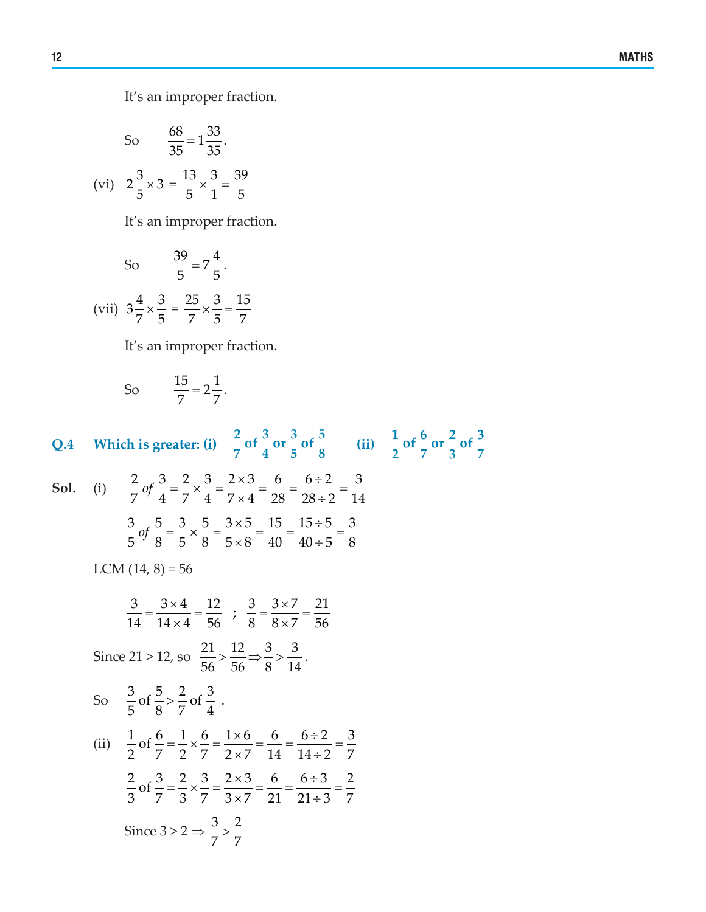It's an improper fraction.

So 
$$
\frac{68}{35} = 1\frac{33}{35}
$$
.  
(vi)  $2\frac{3}{5} \times 3 = \frac{13}{5} \times \frac{3}{1} = \frac{39}{5}$ 

It's an improper fraction.

So 
$$
\frac{39}{5} = 7\frac{4}{5}
$$
.  
(vii)  $3\frac{4}{7} \times \frac{3}{5} = \frac{25}{7} \times \frac{3}{5} = \frac{15}{7}$ 

It's an improper fraction.

So 
$$
\frac{15}{7} = 2\frac{1}{7}
$$
.

**Q.4 Which** is greater: (i)  $\frac{2}{7}$  of  $\frac{3}{4}$  or  $\frac{3}{5}$  of  $\frac{5}{8}$  (ii)  $\frac{1}{2}$  of  $\frac{6}{7}$  or  $\frac{2}{3}$  of  $\frac{3}{7}$ **Sol.** (i)  $\frac{2}{7}$  of  $\frac{3}{4} = \frac{2}{7} \times \frac{3}{4} = \frac{2 \times 3}{7 \times 4} = \frac{6}{20} = \frac{6 \div 2}{20 \times 2} =$  $\times$  4 28 28 ÷  $\frac{2}{7}$  of  $\frac{3}{4} = \frac{2}{7} \times \frac{3}{4} = \frac{2 \times 3}{7 \times 4} = \frac{6}{28} = \frac{6 \div 2}{28 \div 2} = \frac{3}{14}$  $\frac{3}{2}$  of  $\frac{5}{2} = \frac{3}{2} \times \frac{5}{2} = \frac{3 \times 5}{2 \times 2} = \frac{15}{10} = \frac{15 \div 5}{10 \times 2} =$  $\times 8$  40 40÷  $\frac{3}{5}$  of  $\frac{5}{8} = \frac{3}{5} \times \frac{5}{8} = \frac{3 \times 5}{5 \times 8} = \frac{15}{40} = \frac{15 \div 5}{40 \div 5} = \frac{3}{8}$ LCM  $(14, 8) = 56$  $\frac{3}{14} = \frac{3 \times 4}{14 \times 4} = \frac{12}{56}$ ;  $\frac{3}{8} = \frac{3 \times 7}{8 \times 7} = \frac{21}{56}$ Since 21 > 12, so  $\frac{21}{5}$  >  $\frac{12}{12}$ 56 56  $\Rightarrow \frac{3}{8} > \frac{3}{14}.$ So  $\frac{3}{5}$  of  $\frac{5}{8} > \frac{2}{7}$  of  $\frac{3}{4}$ . (ii)  $\frac{1}{2}$  of  $\frac{6}{2} = \frac{1}{2} \times \frac{6}{2} = \frac{1 \times 6}{2 \times 2} = \frac{6}{2 \times 2} = \frac{6 \div 2}{2 \times 2} =$  $\times 7$  14 14 ÷  $\frac{1}{2}$  of  $\frac{6}{2} = \frac{1}{2} \times \frac{6}{2} = \frac{1 \times 6}{2 \times 2} = \frac{6}{24} = \frac{6 \div 2}{24 \times 2} = \frac{3}{24}$  $2 \quad 7 \quad 2 \quad 7 \quad 2 \times 7 \quad 14 \quad 14 \div 2 \quad 7$  $\frac{2}{2}$  of  $\frac{3}{2} = \frac{2}{2} \times \frac{3}{2} = \frac{2 \times 3}{2 \times 2} = \frac{6}{24} = \frac{6 \div 3}{24 \times 2} =$  $\times 7$  21 21 ÷  $\frac{2}{3}$  of  $\frac{3}{2} = \frac{2}{3} \times \frac{3}{2} = \frac{2 \times 3}{3 \times 2} = \frac{6}{36} = \frac{6 \div 3}{36 \times 3} = \frac{2}{36}$  $3 \t7 \t3 \t7 \t3 \t\t x7 \t21 \t21 \div 3 \t7$ Since  $3 > 2 \Rightarrow \frac{3}{7} > \frac{2}{7}$ 7 7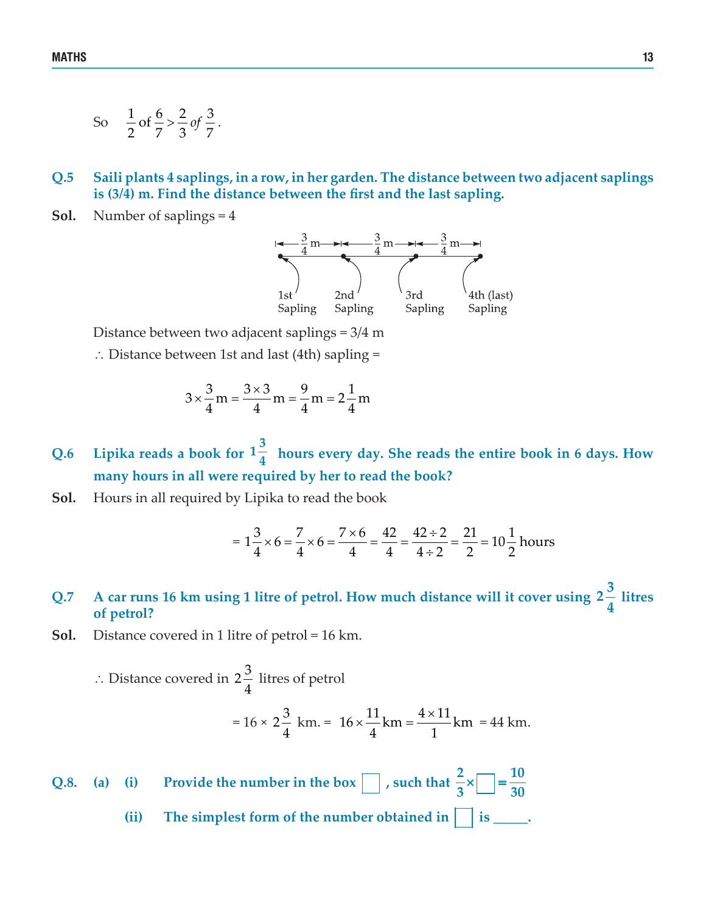- So  $\frac{1}{2}$  of  $\frac{6}{7} > \frac{2}{3}$  of  $\frac{3}{7}$ .
- **Q.5 Saili plants 4 saplings, in a row, in her garden. The distance between two adjacent saplings is (3/4) m. Find the distance between the first and the last sapling.**
- **Sol.** Number of saplings = 4



Distance between two adjacent saplings = 3/4 m

∴ Distance between 1st and last (4th) sapling =

$$
3 \times \frac{3}{4} m = \frac{3 \times 3}{4} m = \frac{9}{4} m = 2\frac{1}{4} m
$$

**Q.6 Lipika reads a book for**  $1\frac{3}{4}$ **<sup>4</sup> hours every day. She reads the entire book in 6 days. How many hours in all were required by her to read the book?**

**Sol.** Hours in all required by Lipika to read the book

$$
= 1\frac{3}{4} \times 6 = \frac{7}{4} \times 6 = \frac{7 \times 6}{4} = \frac{42}{4} = \frac{42 \div 2}{4 \div 2} = \frac{21}{2} = 10\frac{1}{2} \text{ hours}
$$

#### **Q.7 A car runs 16 km using 1 litre of petrol. How much distance will it cover using <sup>3</sup> <sup>2</sup> 4 litres of petrol?**

**Sol.** Distance covered in 1 litre of petrol = 16 km.

∴ Distance covered in  $2\frac{3}{4}$  litres of petrol  $= 16 \times 2 \frac{3}{4}$ 4  $km = 16 \times \frac{11}{4} km = \frac{4 \times 11}{4} km$ 4 1  $= 44$  km.

**Q.8.** (a) (i) Provide the number in the box  $\Box$ , such that  $\frac{2}{2} \times \Box = \frac{10}{20}$  $3 \begin{array}{ccc} 3 & \begin{array}{ccc} \end{array} & 30 \end{array}$  $\times$  =

(ii) The simplest form of the number obtained in  $\vert \cdot \vert$  is \_\_\_\_\_.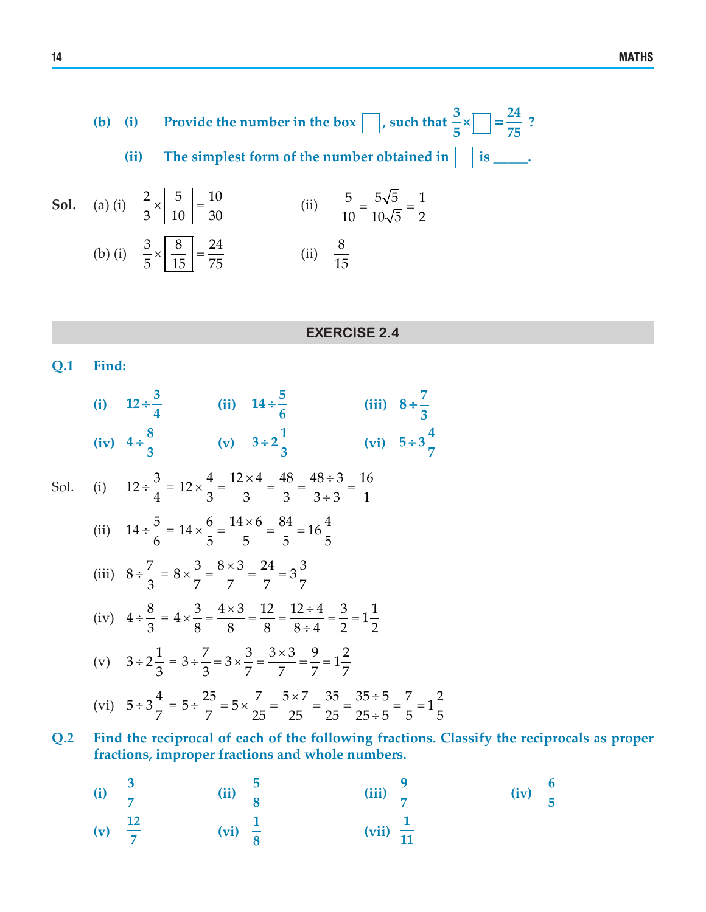**(b)** (i) Provide the number in the box  $\Box$ , such that  $\frac{3}{2} \times \Box = \frac{24}{27}$  $5$   $-1$   $75$  $\times$   $=$   $=$   $\frac{24}{12}$  ?

(ii) The simplest form of the number obtained in  $\vert \cdot \vert$  is \_\_\_\_\_.

**Sol.** (a) (i) 
$$
\frac{2}{3} \times \frac{5}{10} = \frac{10}{30}
$$
 (ii)  $\frac{5}{10} = \frac{5\sqrt{5}}{10\sqrt{5}} = \frac{1}{2}$   
\n(b) (i)  $\frac{3}{5} \times \frac{8}{15} = \frac{24}{75}$  (ii)  $\frac{8}{15}$ 

#### **EXERCISE 2.4**

**Q.1 Find:** 

|      | (i) $12 \div \frac{3}{4}$ (ii) $14 \div \frac{5}{6}$<br>(iii) $8 \div \frac{7}{2}$                                                                                          |
|------|-----------------------------------------------------------------------------------------------------------------------------------------------------------------------------|
|      | (iv) $4 \div \frac{8}{3}$ (v) $3 \div 2\frac{1}{3}$<br>(vi) $5 \div 3\frac{4}{7}$                                                                                           |
| Sol. | (i) $12 \div \frac{3}{4} = 12 \times \frac{4}{3} = \frac{12 \times 4}{3} = \frac{48}{3} = \frac{48 \div 3}{3 \div 3} = \frac{16}{1}$                                        |
|      | (ii) $14 \div \frac{5}{6} = 14 \times \frac{6}{5} = \frac{14 \times 6}{5} = \frac{84}{5} = 16\frac{4}{5}$                                                                   |
|      | (iii) $8 \div \frac{7}{3} = 8 \times \frac{3}{7} = \frac{8 \times 3}{7} = \frac{24}{7} = 3\frac{3}{7}$                                                                      |
|      | (iv) $4 \div \frac{8}{3} = 4 \times \frac{3}{8} = \frac{4 \times 3}{8} = \frac{12}{8} = \frac{12 \div 4}{8 \div 4} = \frac{3}{2} = 1\frac{1}{2}$                            |
|      | (v) $3 \div 2\frac{1}{3} = 3 \div \frac{7}{3} = 3 \times \frac{3}{7} = \frac{3 \times 3}{7} = \frac{9}{7} = 1\frac{2}{7}$                                                   |
|      | (vi) $5 \div 3\frac{4}{7} = 5 \div \frac{25}{7} = 5 \times \frac{7}{25} = \frac{5 \times 7}{25} = \frac{35}{25} = \frac{35 \div 5}{25 \div 5} = \frac{7}{5} = 1\frac{2}{5}$ |

**Q.2 Find the reciprocal of each of the following fractions. Classify the reciprocals as proper fractions, improper fractions and whole numbers.**

(i) 
$$
\frac{3}{7}
$$
 (ii)  $\frac{5}{8}$  (iii)  $\frac{9}{7}$  (iv)  $\frac{6}{5}$  (v)  $\frac{12}{7}$  (vi)  $\frac{1}{8}$  (vii)  $\frac{1}{11}$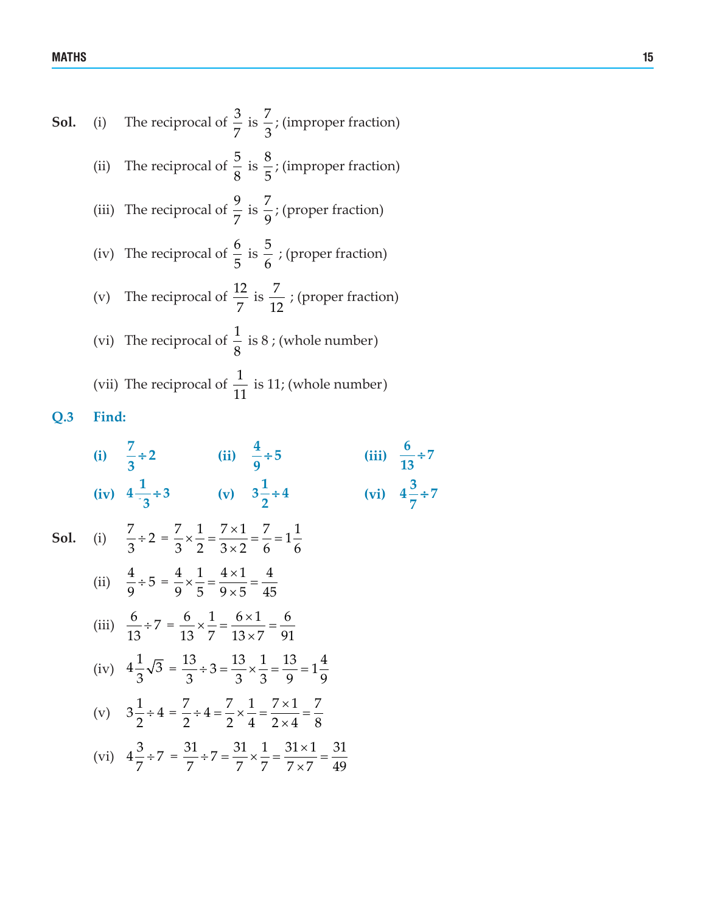MATHS THE RESERVE OF THE RESERVE OF THE RESERVE OF THE RESERVE OF THE RESERVE OF THE RESERVE OF THE RESERVE OF

**Sol.** (i) The reciprocal of 
$$
\frac{3}{7}
$$
 is  $\frac{7}{3}$ ; (improper fraction)  
\n(ii) The reciprocal of  $\frac{5}{8}$  is  $\frac{8}{5}$ ; (improper fraction)  
\n(iii) The reciprocal of  $\frac{9}{7}$  is  $\frac{7}{9}$ ; (proper fraction)  
\n(iv) The reciprocal of  $\frac{6}{5}$  is  $\frac{5}{6}$ ; (proper fraction)  
\n(v) The reciprocal of  $\frac{12}{7}$  is  $\frac{7}{12}$ ; (proper fraction)  
\n(vi) The reciprocal of  $\frac{1}{8}$  is 8; (whole number)  
\n(vii) The reciprocal of  $\frac{1}{11}$  is 11; (whole number)

**Q.3 Find:**

(i) 
$$
\frac{7}{3} \div 2
$$
 (ii)  $\frac{4}{9} \div 5$  (iii)  $\frac{6}{13} \div 7$   
\n(iv)  $4\frac{1}{3} \div 3$  (v)  $3\frac{1}{2} \div 4$  (vi)  $4\frac{3}{7} \div 7$   
\nSol. (i)  $\frac{7}{3} \div 2 = \frac{7}{3} \times \frac{1}{2} = \frac{7 \times 1}{3 \times 2} = \frac{7}{6} = 1\frac{1}{6}$   
\n(ii)  $\frac{4}{9} \div 5 = \frac{4}{9} \times \frac{1}{5} = \frac{4 \times 1}{9 \times 5} = \frac{4}{45}$   
\n(iii)  $\frac{6}{13} \div 7 = \frac{6}{13} \times \frac{1}{7} = \frac{6 \times 1}{13 \times 7} = \frac{6}{91}$   
\n(iv)  $4\frac{1}{3}\sqrt{3} = \frac{13}{3} \div 3 = \frac{13}{3} \times \frac{1}{3} = \frac{13}{9} = 1\frac{4}{9}$   
\n(v)  $3\frac{1}{2} \div 4 = \frac{7}{2} \div 4 = \frac{7}{2} \times \frac{1}{4} = \frac{7 \times 1}{2 \times 4} = \frac{7}{8}$   
\n(vi)  $4\frac{3}{7} \div 7 = \frac{31}{7} \div 7 = \frac{31}{7} \times \frac{1}{7} = \frac{31 \times 1}{7 \times 7} = \frac{31}{49}$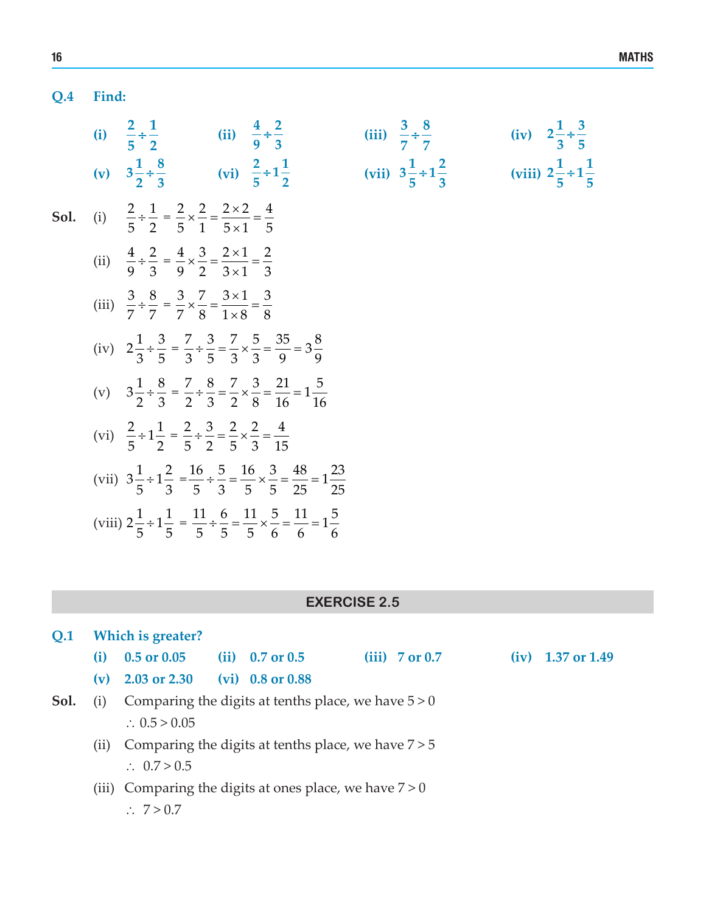### **Q.4 Find:**

|      | (i) $\frac{2}{5} \div \frac{1}{2}$ (ii) $\frac{4}{9} \div \frac{2}{3}$                                                                    |  | (iii) $\frac{3}{7} \div \frac{8}{7}$   | (iv) $2\frac{1}{3} \div \frac{3}{5}$    |
|------|-------------------------------------------------------------------------------------------------------------------------------------------|--|----------------------------------------|-----------------------------------------|
|      | (v) $3\frac{1}{2} \div \frac{8}{3}$ (vi) $\frac{2}{5} \div 1\frac{1}{2}$                                                                  |  | (vii) $3\frac{1}{5} \div 1\frac{2}{3}$ | (viii) $2\frac{1}{5} \div 1\frac{1}{5}$ |
| Sol. | (i) $\frac{2}{5} \div \frac{1}{2} = \frac{2}{5} \times \frac{2}{1} = \frac{2 \times 2}{5 \times 1} = \frac{4}{5}$                         |  |                                        |                                         |
|      | (ii) $\frac{4}{9} \div \frac{2}{3} = \frac{4}{9} \times \frac{3}{2} = \frac{2 \times 1}{3 \times 1} = \frac{2}{3}$                        |  |                                        |                                         |
|      | (iii) $\frac{3}{7} \div \frac{8}{7} = \frac{3}{7} \times \frac{7}{8} = \frac{3 \times 1}{1 \times 8} = \frac{3}{8}$                       |  |                                        |                                         |
|      | (iv) $2\frac{1}{3} \div \frac{3}{5} = \frac{7}{3} \div \frac{3}{5} = \frac{7}{3} \times \frac{5}{3} = \frac{35}{9} = 3\frac{8}{9}$        |  |                                        |                                         |
|      | (v) $3\frac{1}{2} \div \frac{8}{3} = \frac{7}{2} \div \frac{8}{3} = \frac{7}{2} \times \frac{3}{8} = \frac{21}{16} = 1\frac{5}{16}$       |  |                                        |                                         |
|      | (vi) $\frac{2}{5} \div 1\frac{1}{2} = \frac{2}{5} \div \frac{3}{2} = \frac{2}{5} \times \frac{2}{3} = \frac{4}{15}$                       |  |                                        |                                         |
|      | (vii) $3\frac{1}{5} \div 1\frac{2}{3} = \frac{16}{5} \div \frac{5}{3} = \frac{16}{5} \times \frac{3}{5} = \frac{48}{25} = 1\frac{23}{25}$ |  |                                        |                                         |
|      | (viii) $2\frac{1}{5} \div 1\frac{1}{5} = \frac{11}{5} \div \frac{6}{5} = \frac{11}{5} \times \frac{5}{6} = \frac{11}{6} = 1\frac{5}{6}$   |  |                                        |                                         |

### **EXERCISE 2.5**

| O.1  | Which is greater?                                            |                                                       |  |                     |  |                  |  |                     |
|------|--------------------------------------------------------------|-------------------------------------------------------|--|---------------------|--|------------------|--|---------------------|
|      | (i)                                                          | $0.5 \text{ or } 0.05$                                |  | (ii) $0.7$ or $0.5$ |  | $(iii)$ 7 or 0.7 |  | $(iv)$ 1.37 or 1.49 |
|      | (v)                                                          | 2.03 or 2.30                                          |  | $(vi)$ 0.8 or 0.88  |  |                  |  |                     |
| Sol. | (i)                                                          | Comparing the digits at tenths place, we have $5 > 0$ |  |                     |  |                  |  |                     |
|      |                                                              | $\therefore$ 0.5 > 0.05                               |  |                     |  |                  |  |                     |
|      | Comparing the digits at tenths place, we have $7 > 5$<br>(i) |                                                       |  |                     |  |                  |  |                     |
|      |                                                              | $\therefore$ 0.7 > 0.5                                |  |                     |  |                  |  |                     |
|      | (iii)                                                        | Comparing the digits at ones place, we have $7 > 0$   |  |                     |  |                  |  |                     |
|      |                                                              | $\therefore 7 > 0.7$                                  |  |                     |  |                  |  |                     |
|      |                                                              |                                                       |  |                     |  |                  |  |                     |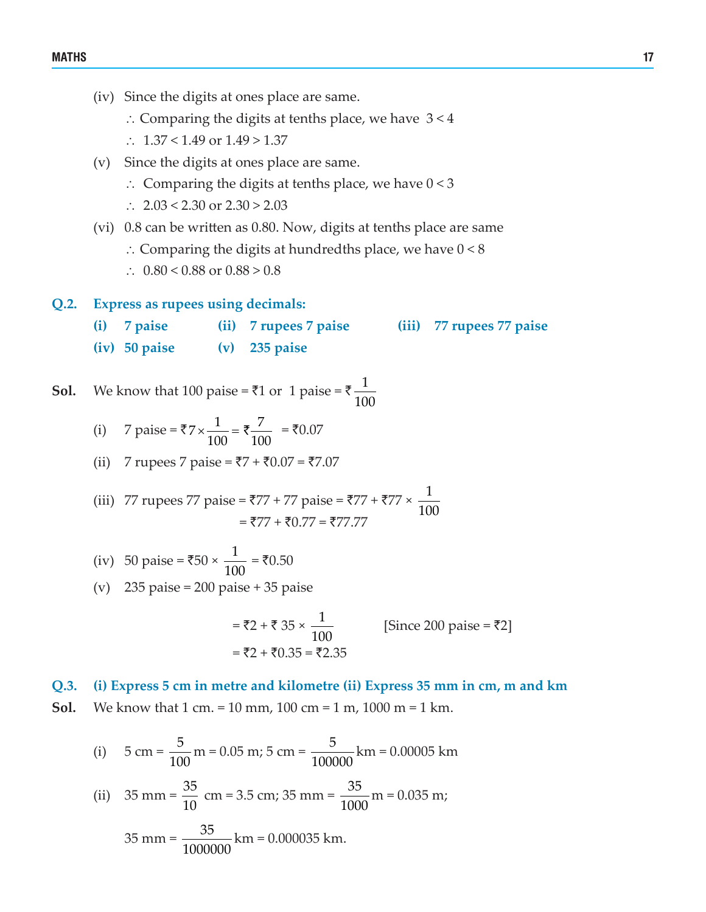- (iv) Since the digits at ones place are same.
	- ∴ Comparing the digits at tenths place, we have 3 < 4
	- ∴ 1.37 < 1.49 or 1.49 > 1.37
- (v) Since the digits at ones place are same.
	- ∴ Comparing the digits at tenths place, we have 0 < 3
	- ∴ 2.03 < 2.30 or 2.30 > 2.03
- (vi)  $0.8$  can be written as 0.80. Now, digits at tenths place are same
	- ∴ Comparing the digits at hundredths place, we have  $0 < 8$
	- ∴ 0.80 < 0.88 or  $0.88 > 0.8$
- **Q.2. Express as rupees using decimals:**
	- **(i) 7 paise (ii) 7 rupees 7 paise (iii) 77 rupees 77 paise (iv) 50 paise (v) 235 paise**

**Sol.** We know that 100 paise =  $\overline{\xi}$ 1 or 1 paise =  $\overline{\xi}$   $\frac{1}{40}$ 100

- (i) 7 paise = ₹7  $\times \frac{1}{100}$  = ₹ $\frac{7}{100}$ 100 100  $x \frac{1}{100} = \overline{\xi} \frac{7}{100} = \overline{\xi} 0.07$
- (ii) 7 rupees 7 paise =  $\overline{57} + \overline{50.07} = \overline{57.07}$
- (iii) 77 rupees 77 paise = ₹77 + 77 paise = ₹77 + ₹77 ×  $\frac{1}{10}$ 100  $=$   $\overline{577} + \overline{50.77} = \overline{577.77}$ 
	- (iv) 50 paise = ₹50 ×  $\frac{1}{10}$ 100  $=$  ₹0.50
	- (v)  $235 \text{ paise} = 200 \text{ paise} + 35 \text{ paise}$

$$
= ₹2 + ₹ 35 × \frac{1}{100}
$$
 [Since 200 paise = ₹2]  
= ₹2 + ₹0.35 = ₹2.35

#### **Q.3. (i) Express 5 cm in metre and kilometre (ii) Express 35 mm in cm, m and km**

**Sol.** We know that 1 cm. = 10 mm, 100 cm = 1 m, 1000 m = 1 km.

(i) 
$$
5 \text{ cm} = \frac{5}{100} \text{ m} = 0.05 \text{ m}; 5 \text{ cm} = \frac{5}{100000} \text{ km} = 0.00005 \text{ km}
$$
  
\n(ii)  $35 \text{ mm} = \frac{35}{10} \text{ cm} = 3.5 \text{ cm}; 35 \text{ mm} = \frac{35}{1000} \text{ m} = 0.035 \text{ m};$   
\n $35 \text{ mm} = \frac{35}{1000000} \text{ km} = 0.000035 \text{ km}.$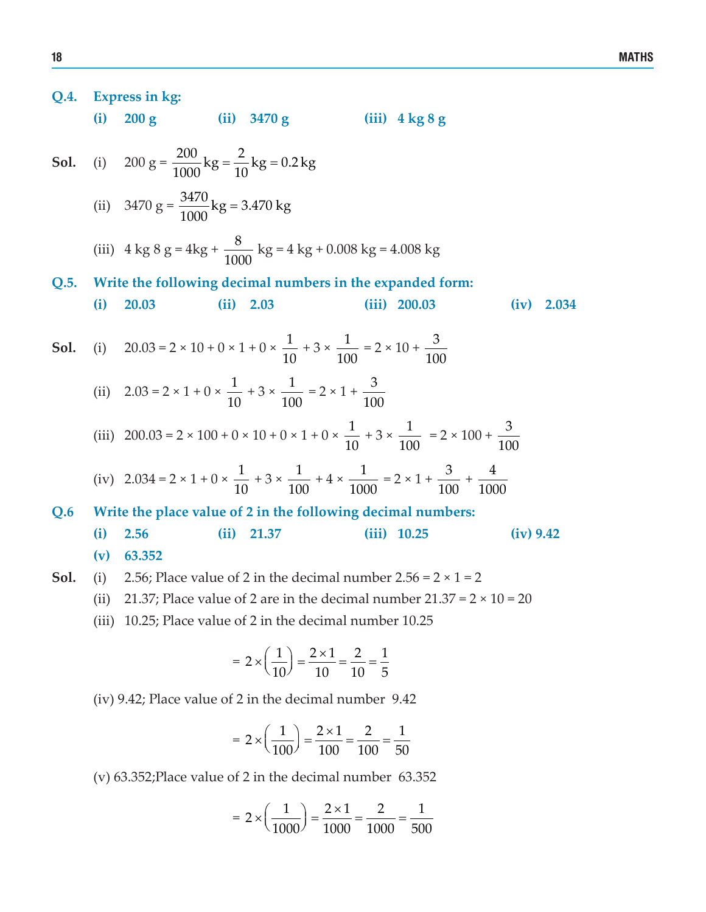Q.4. Express in kg:  
\n(i) 200 g (ii) 3470 g (iii) 4 kg 8 g  
\nSol. (i) 200 g = 
$$
\frac{200}{1000}
$$
 kg =  $\frac{2}{10}$  kg = 0.2 kg  
\n(ii) 3470 g =  $\frac{3470}{1000}$  kg = 3.470 kg  
\n(iii) 4 kg 8 g = 4 kg +  $\frac{8}{1000}$  kg = 4 kg + 0.008 kg = 4.008 kg  
\nQ.5. Write the following decimal numbers in the expanded form:  
\n(i) 20.03 (ii) 2.03 (iii) 2.003 (iv) 2.034  
\nSol. (i) 20.03 = 2 × 10 + 0 × 1 + 0 ×  $\frac{1}{10}$  + 3 ×  $\frac{1}{100}$  = 2 × 10 +  $\frac{3}{100}$   
\n(ii) 2.03 = 2 × 10 + 0 × 1 + 0 ×  $\frac{1}{10}$  + 3 ×  $\frac{1}{100}$  = 2 × 1 +  $\frac{3}{100}$   
\n(iii) 200.03 = 2 × 100 + 0 × 10 + 0 × 1 + 0 ×  $\frac{1}{10}$  + 3 ×  $\frac{1}{100}$  = 2 × 100 +  $\frac{3}{100}$   
\n(iv) 2.034 = 2 × 1 + 0 ×  $\frac{1}{10}$  + 3 ×  $\frac{1}{100}$  + 4 ×  $\frac{1}{1000}$  = 2 × 1 +  $\frac{3}{100}$  +  $\frac{4}{1000}$   
\n(v) 2.034 = 2 × 1 + 0 ×  $\frac{1}{10}$  + 3 ×  $\frac{1}{100}$  + 4 ×  $\frac{1}{1000}$  = 2 × 1 +  $\frac{3}{100}$  +  $\frac{4}{1000}$   
\nQ.6 Write the place value of 2 in the following decimal numbers:  
\n(i) 2.56 (ii) 21.37 (iii) 10.25 (iv) 9.42  
\n(v) 63.352  
\nSol. (i) 2.56; Place

$$
=2\times\left(\frac{1}{100}\right)=\frac{2\times1}{100}=\frac{2}{100}=\frac{1}{50}
$$

(v) 63.352;Place value of 2 in the decimal number 63.352

$$
= 2 \times \left(\frac{1}{1000}\right) = \frac{2 \times 1}{1000} = \frac{2}{1000} = \frac{1}{500}
$$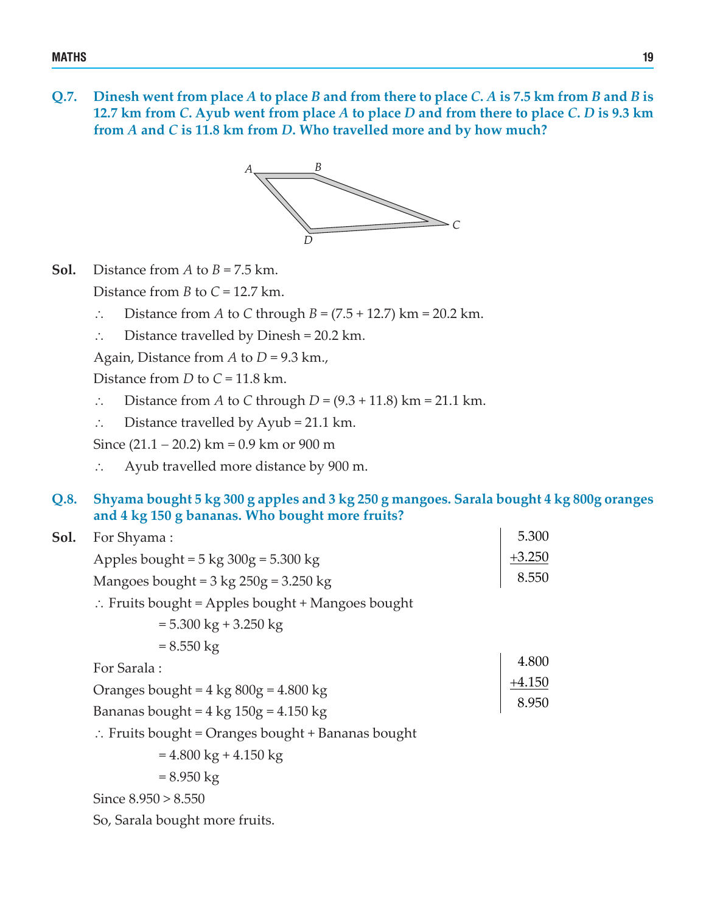**Q.7. Dinesh went from place** *A* **to place** *B* **and from there to place** *C***.** *A* **is 7.5 km from** *B* **and** *B* **is 12.7 km from** *C***. Ayub went from place** *A* **to place** *D* **and from there to place** *C***.** *D* **is 9.3 km from** *A* **and** *C* **is 11.8 km from** *D***. Who travelled more and by how much?**



- **Sol.** Distance from *A* to  $B = 7.5$  km. Distance from *B* to *C* = 12.7 km.
	- ∴ Distance from *A* to *C* through *B* = (7.5 + 12.7) km = 20.2 km.
	- ∴ Distance travelled by Dinesh = 20.2 km.

Again, Distance from *A* to *D* = 9.3 km.,

Distance from *D* to *C* = 11.8 km.

- ∴ Distance from *A* to *C* through *D* = (9.3 + 11.8) km = 21.1 km.
- ∴ Distance travelled by Ayub = 21.1 km.

Since  $(21.1 - 20.2)$  km = 0.9 km or 900 m

- ∴ Ayub travelled more distance by 900 m.
- **Q.8. Shyama bought 5 kg 300 g apples and 3 kg 250 g mangoes. Sarala bought 4 kg 800g oranges and 4 kg 150 g bananas. Who bought more fruits?**

| Sol. | For Shyama:                                                  | 5.300             |  |  |  |  |
|------|--------------------------------------------------------------|-------------------|--|--|--|--|
|      | Apples bought = $5 \text{ kg } 300g = 5.300 \text{ kg}$      | $+3.250$          |  |  |  |  |
|      | Mangoes bought = $3 \text{ kg } 250g = 3.250 \text{ kg}$     | 8.550             |  |  |  |  |
|      | $\therefore$ Fruits bought = Apples bought + Mangoes bought  |                   |  |  |  |  |
|      | $= 5.300 \text{ kg} + 3.250 \text{ kg}$                      |                   |  |  |  |  |
|      | $= 8.550 \text{ kg}$                                         |                   |  |  |  |  |
|      | For Sarala:                                                  | 4.800<br>$+4.150$ |  |  |  |  |
|      | Oranges bought = $4 \text{ kg } 800g = 4.800 \text{ kg}$     |                   |  |  |  |  |
|      | Bananas bought = $4 \text{ kg } 150g = 4.150 \text{ kg}$     | 8.950             |  |  |  |  |
|      | $\therefore$ Fruits bought = Oranges bought + Bananas bought |                   |  |  |  |  |
|      | $= 4.800 \text{ kg} + 4.150 \text{ kg}$                      |                   |  |  |  |  |
|      | $= 8.950 \text{ kg}$                                         |                   |  |  |  |  |
|      | Since $8.950 > 8.550$                                        |                   |  |  |  |  |

So, Sarala bought more fruits.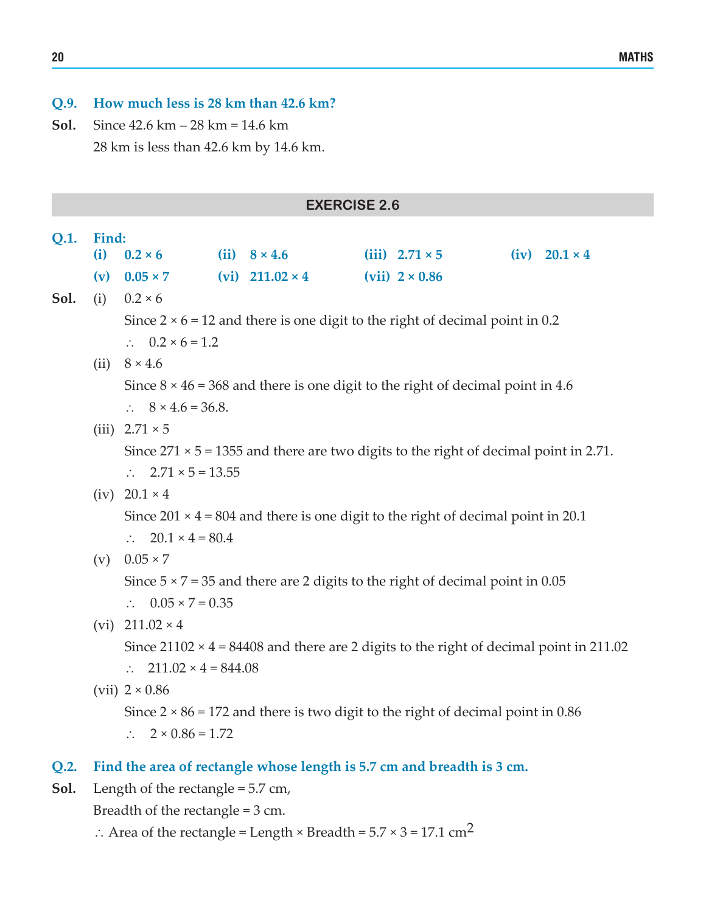#### **Q.9. How much less is 28 km than 42.6 km?**

**Sol.** Since 42.6 km – 28 km = 14.6 km 28 km is less than 42.6 km by 14.6 km.

|      |       |                                                                                             |  | <b>EXERCISE 2.6</b>                                                                           |  |                       |  |                      |  |  |
|------|-------|---------------------------------------------------------------------------------------------|--|-----------------------------------------------------------------------------------------------|--|-----------------------|--|----------------------|--|--|
| Q.1. | Find: |                                                                                             |  |                                                                                               |  |                       |  |                      |  |  |
|      | (i)   | $0.2 \times 6$                                                                              |  | (ii) $8 \times 4.6$                                                                           |  | (iii) $2.71 \times 5$ |  | $(iv) 20.1 \times 4$ |  |  |
|      | (v)   | $0.05 \times 7$                                                                             |  | $(vi)$ 211.02 $\times$ 4                                                                      |  | $(vii)$ 2 × 0.86      |  |                      |  |  |
| Sol. | (i)   | $0.2 \times 6$                                                                              |  |                                                                                               |  |                       |  |                      |  |  |
|      |       |                                                                                             |  | Since $2 \times 6 = 12$ and there is one digit to the right of decimal point in 0.2           |  |                       |  |                      |  |  |
|      |       | $\therefore$ 0.2 × 6 = 1.2                                                                  |  |                                                                                               |  |                       |  |                      |  |  |
|      |       | (ii) $8 \times 4.6$                                                                         |  |                                                                                               |  |                       |  |                      |  |  |
|      |       |                                                                                             |  | Since $8 \times 46 = 368$ and there is one digit to the right of decimal point in 4.6         |  |                       |  |                      |  |  |
|      |       | $\therefore$ 8 × 4.6 = 36.8.                                                                |  |                                                                                               |  |                       |  |                      |  |  |
|      |       | (iii) $2.71 \times 5$                                                                       |  |                                                                                               |  |                       |  |                      |  |  |
|      |       | Since $271 \times 5 = 1355$ and there are two digits to the right of decimal point in 2.71. |  |                                                                                               |  |                       |  |                      |  |  |
|      |       | $\therefore$ 2.71 × 5 = 13.55                                                               |  |                                                                                               |  |                       |  |                      |  |  |
|      |       | (iv) $20.1 \times 4$                                                                        |  |                                                                                               |  |                       |  |                      |  |  |
|      |       |                                                                                             |  | Since $201 \times 4 = 804$ and there is one digit to the right of decimal point in 20.1       |  |                       |  |                      |  |  |
|      |       | $20.1 \times 4 = 80.4$<br>$\mathcal{L}$                                                     |  |                                                                                               |  |                       |  |                      |  |  |
|      |       | (v) $0.05 \times 7$                                                                         |  |                                                                                               |  |                       |  |                      |  |  |
|      |       | Since $5 \times 7 = 35$ and there are 2 digits to the right of decimal point in 0.05        |  |                                                                                               |  |                       |  |                      |  |  |
|      |       | $\therefore$ 0.05 × 7 = 0.35                                                                |  |                                                                                               |  |                       |  |                      |  |  |
|      |       | (vi) $211.02 \times 4$                                                                      |  |                                                                                               |  |                       |  |                      |  |  |
|      |       |                                                                                             |  | Since $21102 \times 4 = 84408$ and there are 2 digits to the right of decimal point in 211.02 |  |                       |  |                      |  |  |
|      |       | $\therefore$ 211.02 × 4 = 844.08                                                            |  |                                                                                               |  |                       |  |                      |  |  |
|      |       | $(vii)$ 2 × 0.86                                                                            |  |                                                                                               |  |                       |  |                      |  |  |
|      |       |                                                                                             |  | Since $2 \times 86 = 172$ and there is two digit to the right of decimal point in 0.86        |  |                       |  |                      |  |  |
|      |       | $\therefore$ 2 × 0.86 = 1.72                                                                |  |                                                                                               |  |                       |  |                      |  |  |
| Q.2. |       |                                                                                             |  | Find the area of rectangle whose length is 5.7 cm and breadth is 3 cm.                        |  |                       |  |                      |  |  |

**Sol.** Length of the rectangle = 5.7 cm,

Breadth of the rectangle = 3 cm.

∴ Area of the rectangle = Length × Breadth =  $5.7 \times 3 = 17.1 \text{ cm}^2$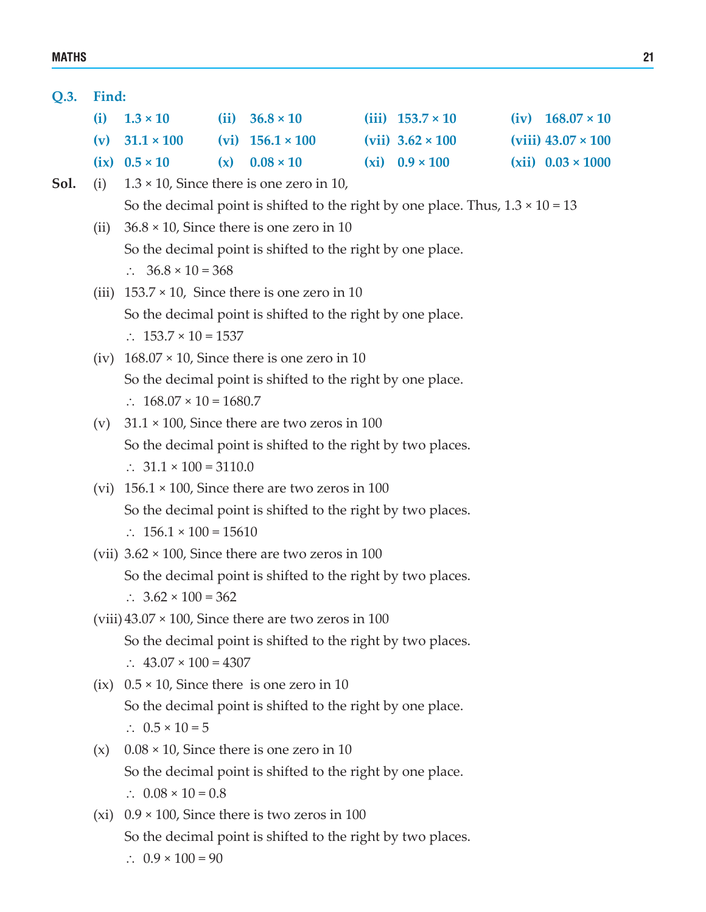#### **Q.3. Find:**

| (i) $1.3 \times 10$    | (ii) $36.8 \times 10$     | (iii) $153.7 \times 10$ | $(iv)$ 168.07 $\times$ 10  |
|------------------------|---------------------------|-------------------------|----------------------------|
| (v) $31.1 \times 100$  | $(vi)$ 156.1 $\times$ 100 | (vii) $3.62 \times 100$ | (viii) $43.07 \times 100$  |
| $(ix)$ 0.5 $\times$ 10 | (x) $0.08 \times 10$      | (xi) $0.9 \times 100$   | $(xii)$ 0.03 $\times$ 1000 |

- **Sol.** (i)  $1.3 \times 10$ , Since there is one zero in 10, So the decimal point is shifted to the right by one place. Thus,  $1.3 \times 10 = 13$ 
	- (ii)  $36.8 \times 10$ , Since there is one zero in 10 So the decimal point is shifted to the right by one place. ∴ 36.8  $\times$  10 = 368
	- (iii)  $153.7 \times 10$ , Since there is one zero in 10 So the decimal point is shifted to the right by one place. ∴ 153.7  $\times$  10 = 1537
	- (iv)  $168.07 \times 10$ , Since there is one zero in 10 So the decimal point is shifted to the right by one place. ∴ 168.07 × 10 = 1680.7
	- (v)  $31.1 \times 100$ , Since there are two zeros in 100 So the decimal point is shifted to the right by two places. ∴ 31.1  $\times$  100 = 3110.0
	- (vi)  $156.1 \times 100$ , Since there are two zeros in 100 So the decimal point is shifted to the right by two places. ∴ 156.1  $\times$  100 = 15610
	- (vii)  $3.62 \times 100$ , Since there are two zeros in 100 So the decimal point is shifted to the right by two places. ∴  $3.62 \times 100 = 362$
	- $(viii)$  43.07  $\times$  100, Since there are two zeros in 100 So the decimal point is shifted to the right by two places. ∴ 43.07  $\times$  100 = 4307
	- $(ix)$  0.5  $\times$  10, Since there is one zero in 10 So the decimal point is shifted to the right by one place. ∴  $0.5 \times 10 = 5$
	- $(x)$  0.08  $\times$  10, Since there is one zero in 10 So the decimal point is shifted to the right by one place. ∴ 0.08  $\times$  10 = 0.8
	- (xi)  $0.9 \times 100$ , Since there is two zeros in 100 So the decimal point is shifted to the right by two places. ∴ 0.9  $\times$  100 = 90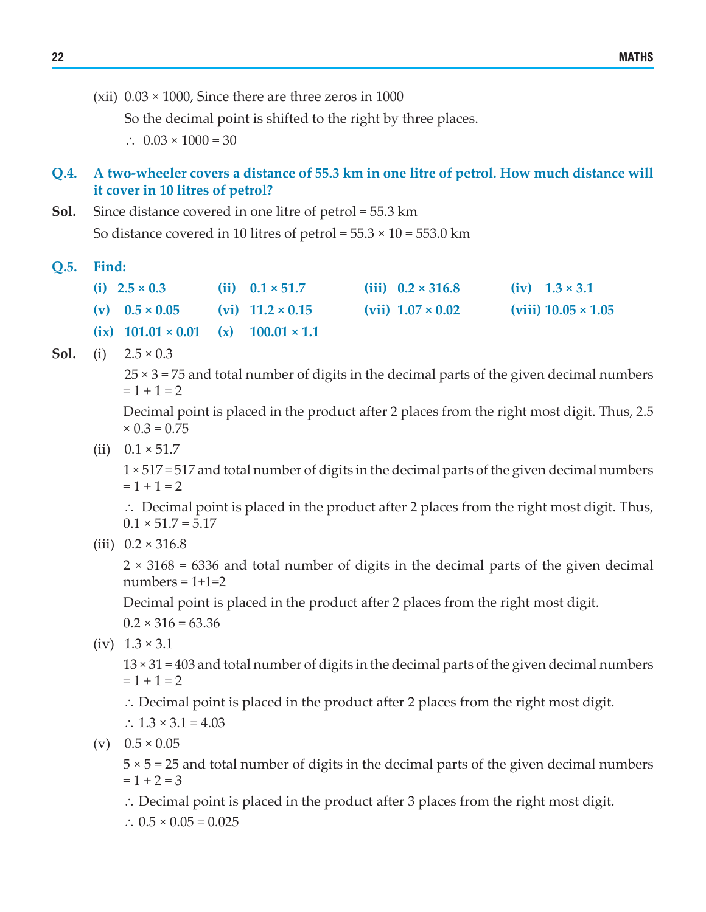(xii)  $0.03 \times 1000$ , Since there are three zeros in 1000

So the decimal point is shifted to the right by three places.

∴ 0.03  $\times$  1000 = 30

#### **Q.4. A two-wheeler covers a distance of 55.3 km in one litre of petrol. How much distance will it cover in 10 litres of petrol?**

**Sol.** Since distance covered in one litre of petrol = 55.3 km So distance covered in 10 litres of petrol =  $55.3 \times 10 = 553.0$  km

**Q.5. Find:** 

| (i) $2.5 \times 0.3$                              | (ii) $0.1 \times 51.7$  | (iii) $0.2 \times 316.8$ | $(iv) 1.3 \times 3.1$      |
|---------------------------------------------------|-------------------------|--------------------------|----------------------------|
| (v) $0.5 \times 0.05$                             | (vi) $11.2 \times 0.15$ | (vii) $1.07 \times 0.02$ | (viii) $10.05 \times 1.05$ |
| (ix) $101.01 \times 0.01$ (x) $100.01 \times 1.1$ |                         |                          |                            |

**Sol.** (i)  $2.5 \times 0.3$ 

 $25 \times 3 = 75$  and total number of digits in the decimal parts of the given decimal numbers  $= 1 + 1 = 2$ 

 Decimal point is placed in the product after 2 places from the right most digit. Thus, 2.5  $\times$  0.3 = 0.75

(ii)  $0.1 \times 51.7$ 

 1 × 517 = 517 and total number of digits in the decimal parts of the given decimal numbers  $= 1 + 1 = 2$ 

 ∴ Decimal point is placed in the product after 2 places from the right most digit. Thus,  $0.1 \times 51.7 = 5.17$ 

(iii)  $0.2 \times 316.8$ 

 2 × 3168 = 6336 and total number of digits in the decimal parts of the given decimal  $numbers = 1+1=2$ 

Decimal point is placed in the product after 2 places from the right most digit.

 $0.2 \times 316 = 63.36$ 

 $(iv) 1.3 \times 3.1$ 

 13 × 31 = 403 and total number of digits in the decimal parts of the given decimal numbers  $= 1 + 1 = 2$ 

∴ Decimal point is placed in the product after 2 places from the right most digit.

∴  $1.3 \times 3.1 = 4.03$ 

 $(v)$  0.5  $\times$  0.05

 5 × 5 = 25 and total number of digits in the decimal parts of the given decimal numbers  $= 1 + 2 = 3$ 

∴ Decimal point is placed in the product after 3 places from the right most digit.

∴  $0.5 \times 0.05 = 0.025$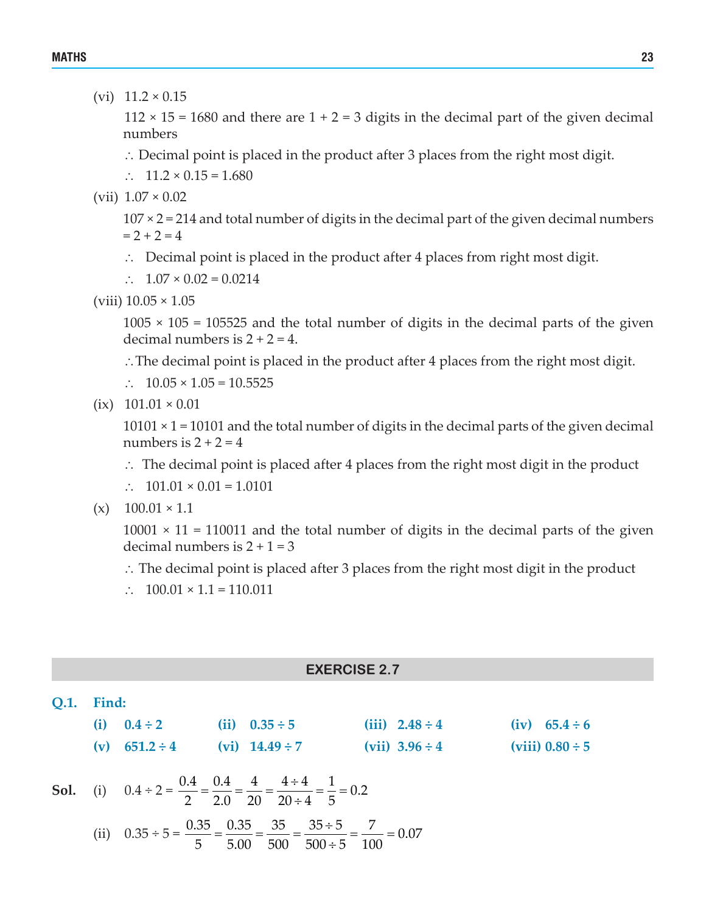(vi) 11.2 × 0.15

 $112 \times 15 = 1680$  and there are  $1 + 2 = 3$  digits in the decimal part of the given decimal numbers

- ∴ Decimal point is placed in the product after 3 places from the right most digit.
- ∴ 11.2 × 0.15 = 1.680
- (vii)  $1.07 \times 0.02$

 $107 \times 2 = 214$  and total number of digits in the decimal part of the given decimal numbers  $= 2 + 2 = 4$ 

- ∴ Decimal point is placed in the product after 4 places from right most digit.
- ∴  $1.07 \times 0.02 = 0.0214$
- (viii)  $10.05 \times 1.05$

 $1005 \times 105 = 105525$  and the total number of digits in the decimal parts of the given decimal numbers is  $2 + 2 = 4$ .

- ∴The decimal point is placed in the product after 4 places from the right most digit.
- ∴ 10.05  $\times$  1.05 = 10.5525
- $(ix)$  101.01  $\times$  0.01

 $10101 \times 1 = 10101$  and the total number of digits in the decimal parts of the given decimal numbers is  $2 + 2 = 4$ 

- ∴ The decimal point is placed after 4 places from the right most digit in the product
- ∴ 101.01  $\times$  0.01 = 1.0101
- $(x)$  100.01  $\times$  1.1

 $10001 \times 11 = 110011$  and the total number of digits in the decimal parts of the given decimal numbers is  $2 + 1 = 3$ 

- ∴ The decimal point is placed after 3 places from the right most digit in the product
- ∴  $100.01 \times 1.1 = 110.011$

#### **EXERCISE 2.7**

| <b>O.1.</b> Find: |                    |  |                                                                                                                                |  |                     |  |                      |  |  |
|-------------------|--------------------|--|--------------------------------------------------------------------------------------------------------------------------------|--|---------------------|--|----------------------|--|--|
| (i)               | $0.4 \div 2$       |  | (ii) $0.35 \div 5$                                                                                                             |  | $(iii)$ 2.48 ÷ 4    |  | $(iv) 65.4 \div 6$   |  |  |
|                   | (v) $651.2 \div 4$ |  | $(vi)$ 14.49 ÷ 7                                                                                                               |  | (vii) $3.96 \div 4$ |  | (viii) $0.80 \div 5$ |  |  |
|                   |                    |  | <b>Sol.</b> (i) $0.4 \div 2 = \frac{0.4}{2} = \frac{0.4}{2.0} = \frac{4}{20} = \frac{4 \div 4}{20 \div 4} = \frac{1}{5} = 0.2$ |  |                     |  |                      |  |  |
|                   |                    |  | (ii) $0.35 \div 5 = \frac{0.35}{5} = \frac{0.35}{5.00} = \frac{35}{500} = \frac{35 \div 5}{500 \div 5} = \frac{7}{100} = 0.07$ |  |                     |  |                      |  |  |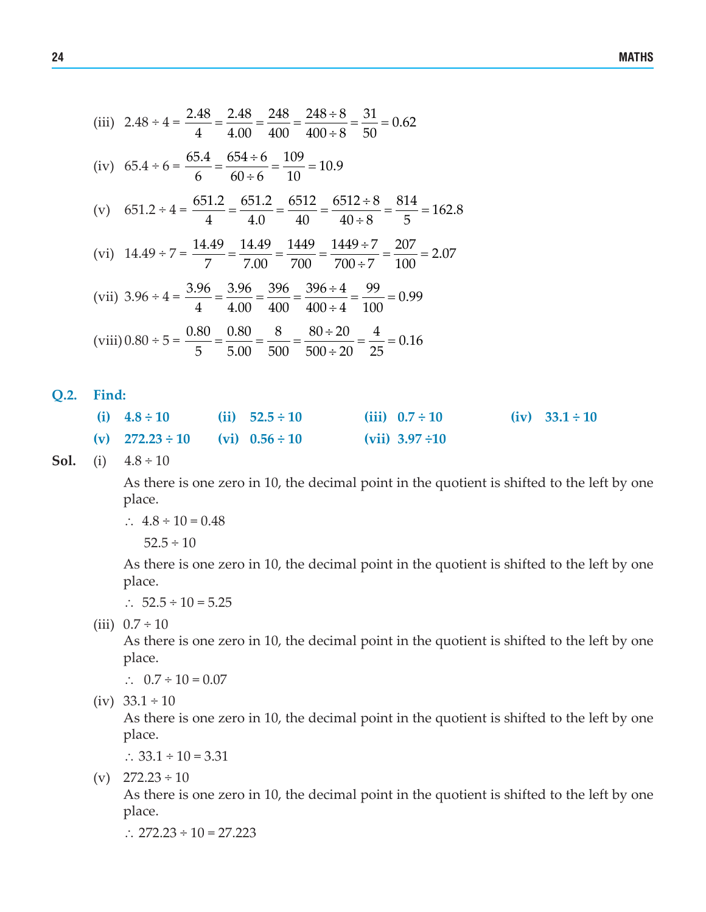(iii) 
$$
2.48 \div 4 = \frac{2.48}{4} = \frac{2.48}{4.00} = \frac{248}{400} = \frac{248 \div 8}{400 \div 8} = \frac{31}{50} = 0.62
$$
  
\n(iv)  $65.4 \div 6 = \frac{65.4}{6} = \frac{654 \div 6}{60 \div 6} = \frac{109}{10} = 10.9$   
\n(v)  $651.2 \div 4 = \frac{651.2}{4} = \frac{651.2}{4.0} = \frac{6512}{40} = \frac{6512 \div 8}{40 \div 8} = \frac{814}{5} = 162.8$   
\n(vi)  $14.49 \div 7 = \frac{14.49}{7} = \frac{14.49}{7.00} = \frac{1449}{700} = \frac{1449 \div 7}{700 \div 7} = \frac{207}{100} = 2.07$   
\n(vii)  $3.96 \div 4 = \frac{3.96}{4} = \frac{3.96}{4.00} = \frac{396}{400} = \frac{396 \div 4}{400 \div 4} = \frac{99}{100} = 0.99$   
\n(viii)  $0.80 \div 5 = \frac{0.80}{5} = \frac{0.80}{5.00} = \frac{8}{500} = \frac{80 \div 20}{500 \div 20} = \frac{4}{25} = 0.16$ 

**Q.2. Find:**

| (i) $4.8 \div 10$                        | (ii) $52.5 \div 10$ | (iii) $0.7 \div 10$ | $(iv)$ 33.1 ÷ 10 |
|------------------------------------------|---------------------|---------------------|------------------|
| (v) $272.23 \div 10$ (vi) $0.56 \div 10$ |                     | $(vii)$ 3.97 ÷10    |                  |

**Sol.** (i)  $4.8 \div 10$ 

 As there is one zero in 10, the decimal point in the quotient is shifted to the left by one place.

∴  $4.8 \div 10 = 0.48$ 

 $52.5 \div 10$ 

 As there is one zero in 10, the decimal point in the quotient is shifted to the left by one place.

∴  $52.5 \div 10 = 5.25$ 

(iii)  $0.7 \div 10$ 

As there is one zero in 10, the decimal point in the quotient is shifted to the left by one place.

∴  $0.7 \div 10 = 0.07$ 

 $(iv)$  33.1 ÷ 10

As there is one zero in 10, the decimal point in the quotient is shifted to the left by one place.

∴ 33.1 ÷ 10 = 3.31

 $(v)$  272.23 ÷ 10

As there is one zero in 10, the decimal point in the quotient is shifted to the left by one place.

∴ 272.23 ÷ 10 = 27.223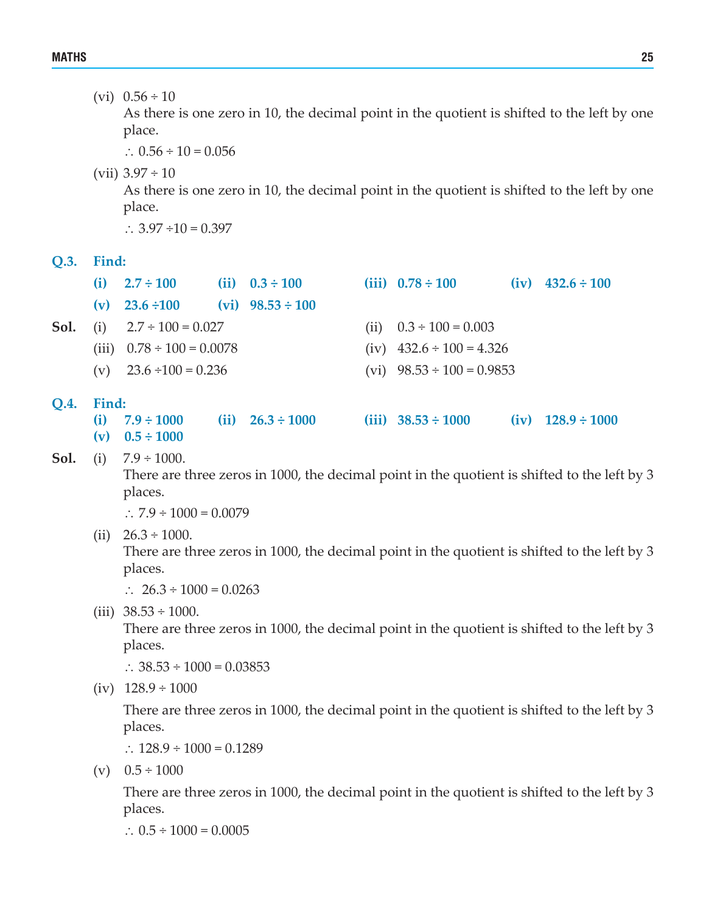(vi)  $0.56 \div 10$ 

As there is one zero in 10, the decimal point in the quotient is shifted to the left by one place.

∴ 0.56 ÷ 10 = 0.056

(vii)  $3.97 \div 10$ 

As there is one zero in 10, the decimal point in the quotient is shifted to the left by one place.

∴ 3.97 ÷10 = 0.397

#### **Q.3. Find:**

|             | (i)                           | $2.7 \div 100$                 |  | (ii) $0.3 \div 100$   | (iii) $0.78 \div 100$          |  | $(iv)$ 432.6 ÷ 100  |  |
|-------------|-------------------------------|--------------------------------|--|-----------------------|--------------------------------|--|---------------------|--|
|             | (v)                           | $23.6 \div 100$                |  | $(vi)$ 98.53 ÷ 100    |                                |  |                     |  |
| Sol.        | $2.7 \div 100 = 0.027$<br>(i) |                                |  |                       | (ii) $0.3 \div 100 = 0.003$    |  |                     |  |
|             |                               | (iii) $0.78 \div 100 = 0.0078$ |  |                       | (iv) $432.6 \div 100 = 4.326$  |  |                     |  |
|             |                               | (v) $23.6 \div 100 = 0.236$    |  |                       | (vi) $98.53 \div 100 = 0.9853$ |  |                     |  |
| <b>O.4.</b> | Find:                         |                                |  |                       |                                |  |                     |  |
|             | (i)                           | $7.9 \div 1000$                |  | (ii) $26.3 \div 1000$ | (iii) $38.53 \div 1000$        |  | $(iv)$ 128.9 ÷ 1000 |  |

**(v) 0.5 ÷ 1000**

**Sol.** (i)  $7.9 \div 1000$ .

There are three zeros in 1000, the decimal point in the quotient is shifted to the left by 3 places.

∴  $7.9 \div 1000 = 0.0079$ 

- (ii)  $26.3 \div 1000$ . There are three zeros in 1000, the decimal point in the quotient is shifted to the left by 3 places.
	- ∴ 26.3 ÷ 1000 = 0.0263
- (iii)  $38.53 \div 1000$ .

There are three zeros in 1000, the decimal point in the quotient is shifted to the left by 3 places.

∴ 38.53 ÷ 1000 = 0.03853

 $(iv)$  128.9 ÷ 1000

 There are three zeros in 1000, the decimal point in the quotient is shifted to the left by 3 places.

∴  $128.9 \div 1000 = 0.1289$ 

 $(v)$  0.5  $\div$  1000

 There are three zeros in 1000, the decimal point in the quotient is shifted to the left by 3 places.

∴  $0.5 \div 1000 = 0.0005$